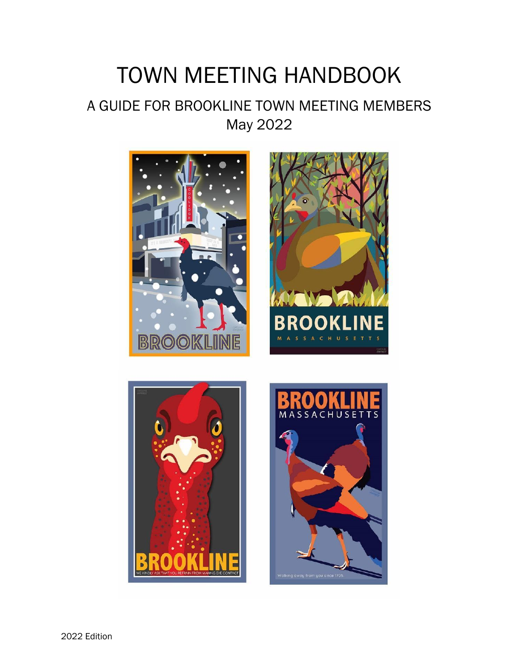### TOWN MEETING HANDBOOK

### A GUIDE FOR BROOKLINE TOWN MEETING MEMBERS May 2022







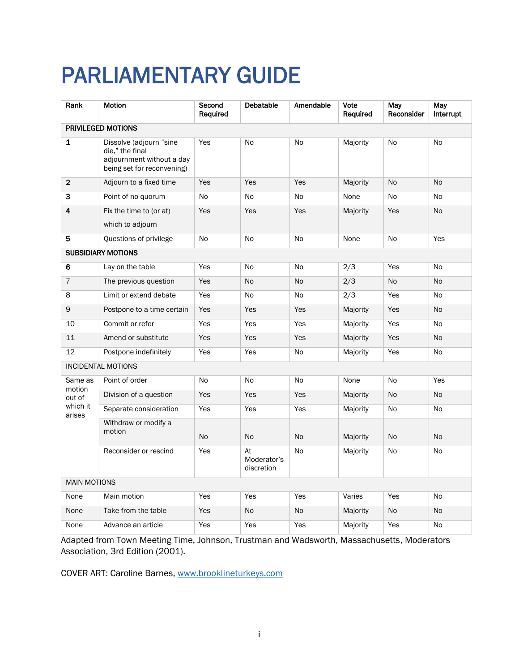## <span id="page-1-0"></span>PARLIAMENTARY GUIDE

| Rank                | <b>Motion</b>                                                                                         | Second<br>Required | Debatable                       | Amendable | Vote<br>Required | May<br>Reconsider | May<br>Interrupt |
|---------------------|-------------------------------------------------------------------------------------------------------|--------------------|---------------------------------|-----------|------------------|-------------------|------------------|
|                     | PRIVILEGED MOTIONS                                                                                    |                    |                                 |           |                  |                   |                  |
| 1                   | Dissolve (adjourn "sine<br>die," the final<br>adjournment without a day<br>being set for reconvening) | Yes                | No                              | No        | Majority         | No                | No               |
| $\mathbf{2}$        | Adjourn to a fixed time                                                                               | Yes                | Yes                             | Yes       | Majority         | <b>No</b>         | <b>No</b>        |
| 3                   | Point of no quorum                                                                                    | No                 | <b>No</b>                       | <b>No</b> | None             | <b>No</b>         | <b>No</b>        |
| 4                   | Fix the time to (or at)<br>which to adjourn                                                           | Yes                | Yes                             | Yes       | Majority         | Yes               | <b>No</b>        |
| 5                   | Questions of privilege                                                                                | No                 | No                              | No        | None             | No                | Yes              |
|                     | <b>SUBSIDIARY MOTIONS</b>                                                                             |                    |                                 |           |                  |                   |                  |
| 6                   | Lay on the table                                                                                      | Yes                | <b>No</b>                       | <b>No</b> | 2/3              | Yes               | <b>No</b>        |
| $\overline{7}$      | The previous question                                                                                 | Yes                | <b>No</b>                       | <b>No</b> | 2/3              | <b>No</b>         | <b>No</b>        |
| 8                   | Limit or extend debate                                                                                | Yes                | No                              | No        | 2/3              | Yes               | No               |
| 9                   | Postpone to a time certain                                                                            | Yes                | Yes                             | Yes       | Majority         | Yes               | <b>No</b>        |
| 10                  | Commit or refer                                                                                       | Yes                | Yes                             | Yes       | Majority         | Yes               | <b>No</b>        |
| 11                  | Amend or substitute                                                                                   | Yes                | Yes                             | Yes       | Majority         | Yes               | <b>No</b>        |
| 12                  | Postpone indefinitely                                                                                 | Yes                | Yes                             | <b>No</b> | Majority         | Yes               | No               |
|                     | <b>INCIDENTAL MOTIONS</b>                                                                             |                    |                                 |           |                  |                   |                  |
| Same as<br>motion   | Point of order                                                                                        | No                 | No                              | No        | None             | No                | Yes              |
| out of              | Division of a question                                                                                | Yes                | Yes                             | Yes       | Majority         | No                | <b>No</b>        |
| which it<br>arises  | Separate consideration                                                                                | Yes                | Yes                             | Yes       | Majority         | No                | No               |
|                     | Withdraw or modify a<br>motion                                                                        | <b>No</b>          | No                              | <b>No</b> | Majority         | No                | <b>No</b>        |
|                     | Reconsider or rescind                                                                                 | Yes                | At<br>Moderator's<br>discretion | <b>No</b> | Majority         | No                | <b>No</b>        |
| <b>MAIN MOTIONS</b> |                                                                                                       |                    |                                 |           |                  |                   |                  |
| None                | Main motion                                                                                           | Yes                | Yes                             | Yes       | Varies           | Yes               | <b>No</b>        |
| None                | Take from the table                                                                                   | Yes                | <b>No</b>                       | <b>No</b> | Majority         | <b>No</b>         | <b>No</b>        |
| None                | Advance an article                                                                                    | Yes                | Yes                             | Yes       | Majority         | Yes               | <b>No</b>        |

Adapted from Town Meeting Time, Johnson, Trustman and Wadsworth, Massachusetts, Moderators Association, 3rd Edition (2001).

COVER ART: Caroline Barnes, [www.brooklineturkeys.com](http://www.brooklineturkeys.com/)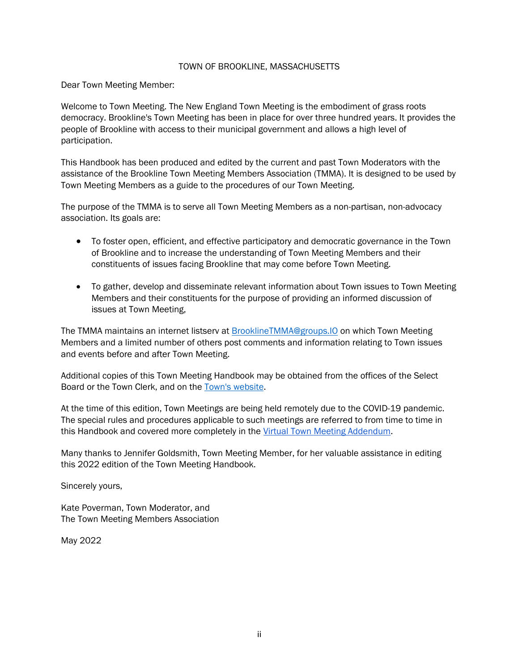#### TOWN OF BROOKLINE, MASSACHUSETTS

Dear Town Meeting Member:

Welcome to Town Meeting. The New England Town Meeting is the embodiment of grass roots democracy. Brookline's Town Meeting has been in place for over three hundred years. It provides the people of Brookline with access to their municipal government and allows a high level of participation.

This Handbook has been produced and edited by the current and past Town Moderators with the assistance of the Brookline Town Meeting Members Association (TMMA). It is designed to be used by Town Meeting Members as a guide to the procedures of our Town Meeting.

The purpose of the TMMA is to serve all Town Meeting Members as a non-partisan, non-advocacy association. Its goals are:

- To foster open, efficient, and effective participatory and democratic governance in the Town of Brookline and to increase the understanding of Town Meeting Members and their constituents of issues facing Brookline that may come before Town Meeting.
- To gather, develop and disseminate relevant information about Town issues to Town Meeting Members and their constituents for the purpose of providing an informed discussion of issues at Town Meeting,

The TMMA maintains an internet listserv at [BrooklineTMMA@groups.IO](mailto:BrooklineTMMA@groups.IO) on which Town Meeting Members and a limited number of others post comments and information relating to Town issues and events before and after Town Meeting.

Additional copies of this Town Meeting Handbook may be obtained from the offices of the Select Board or the Town Clerk, and on the [Town's website.](https://www.brooklinema.gov/DocumentCenter/View/21868/Town-Meeting-Handbook--2021-Edition?bidId=)

At the time of this edition, Town Meetings are being held remotely due to the COVID-19 pandemic. The special rules and procedures applicable to such meetings are referred to from time to time in this Handbook and covered more completely in the Virtual Town Meeting Addendum.

Many thanks to Jennifer Goldsmith, Town Meeting Member, for her valuable assistance in editing this 2022 edition of the Town Meeting Handbook.

Sincerely yours,

Kate Poverman, Town Moderator, and The Town Meeting Members Association

May 2022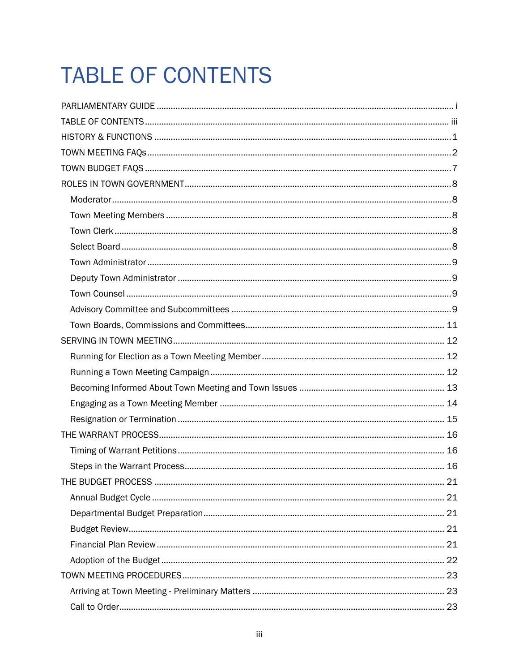## <span id="page-3-0"></span>**TABLE OF CONTENTS**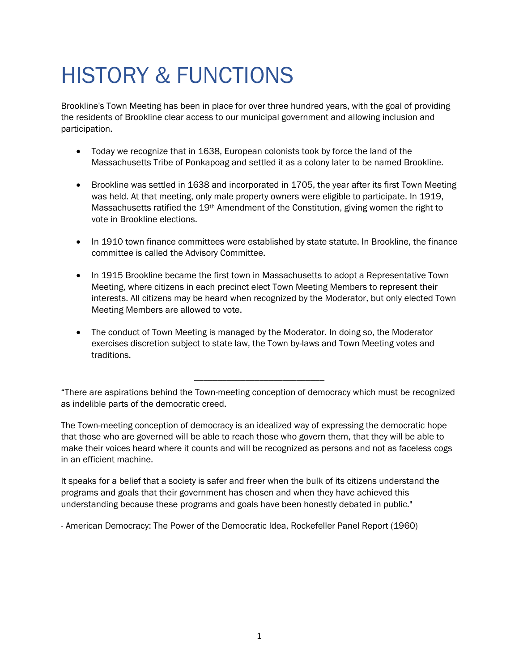### <span id="page-5-0"></span>HISTORY & FUNCTIONS

Brookline's Town Meeting has been in place for over three hundred years, with the goal of providing the residents of Brookline clear access to our municipal government and allowing inclusion and participation.

- Today we recognize that in 1638, European colonists took by force the land of the Massachusetts Tribe of Ponkapoag and settled it as a colony later to be named Brookline.
- Brookline was settled in 1638 and incorporated in 1705, the year after its first Town Meeting was held. At that meeting, only male property owners were eligible to participate. In 1919, Massachusetts ratified the 19th Amendment of the Constitution, giving women the right to vote in Brookline elections.
- In 1910 town finance committees were established by state statute. In Brookline, the finance committee is called the Advisory Committee.
- In 1915 Brookline became the first town in Massachusetts to adopt a Representative Town Meeting, where citizens in each precinct elect Town Meeting Members to represent their interests. All citizens may be heard when recognized by the Moderator, but only elected Town Meeting Members are allowed to vote.
- The conduct of Town Meeting is managed by the Moderator. In doing so, the Moderator exercises discretion subject to state law, the Town by-laws and Town Meeting votes and traditions.

"There are aspirations behind the Town-meeting conception of democracy which must be recognized as indelible parts of the democratic creed.

\_\_\_\_\_\_\_\_\_\_\_\_\_\_\_\_\_\_\_\_\_\_\_\_\_\_\_\_

The Town-meeting conception of democracy is an idealized way of expressing the democratic hope that those who are governed will be able to reach those who govern them, that they will be able to make their voices heard where it counts and will be recognized as persons and not as faceless cogs in an efficient machine.

It speaks for a belief that a society is safer and freer when the bulk of its citizens understand the programs and goals that their government has chosen and when they have achieved this understanding because these programs and goals have been honestly debated in public."

- American Democracy: The Power of the Democratic Idea, Rockefeller Panel Report (1960)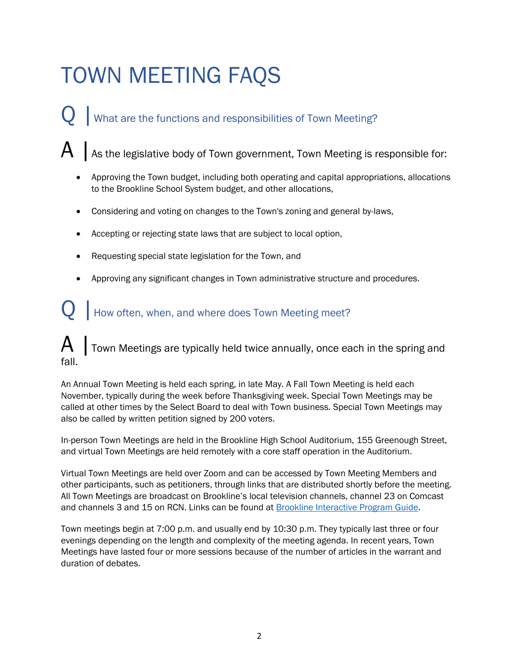## <span id="page-6-0"></span>TOWN MEETING FAQS

What are the functions and responsibilities of Town Meeting?

 $\mathsf A\,|\,$  As the legislative body of Town government, Town Meeting is responsible for:

- Approving the Town budget, including both operating and capital appropriations, allocations to the Brookline School System budget, and other allocations,
- Considering and voting on changes to the Town's zoning and general by-laws,
- Accepting or rejecting state laws that are subject to local option,
- Requesting special state legislation for the Town, and
- Approving any significant changes in Town administrative structure and procedures.

### How often, when, and where does Town Meeting meet?

Town Meetings are typically held twice annually, once each in the spring and fall.

An Annual Town Meeting is held each spring, in late May. A Fall Town Meeting is held each November, typically during the week before Thanksgiving week. Special Town Meetings may be called at other times by the Select Board to deal with Town business. Special Town Meetings may also be called by written petition signed by 200 voters.

In-person Town Meetings are held in the Brookline High School Auditorium, 155 Greenough Street, and virtual Town Meetings are held remotely with a core staff operation in the Auditorium.

Virtual Town Meetings are held over Zoom and can be accessed by Town Meeting Members and other participants, such as petitioners, through links that are distributed shortly before the meeting. All Town Meetings are broadcast on Brookline's local television channels, channel 23 on Comcast and channels 3 and 15 on RCN. Links can be found at [Brookline Interactive Program Guide.](https://brooklineinteractive.org/program-guide/)

Town meetings begin at 7:00 p.m. and usually end by 10:30 p.m. They typically last three or four evenings depending on the length and complexity of the meeting agenda. In recent years, Town Meetings have lasted four or more sessions because of the number of articles in the warrant and duration of debates.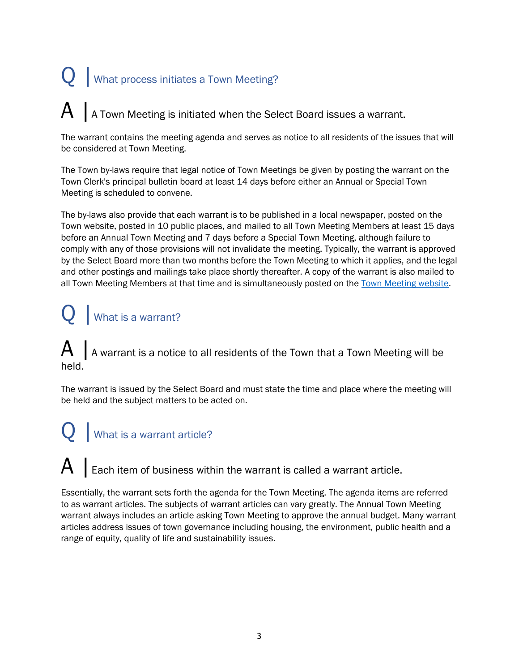# Q | What process initiates a Town Meeting?

### $\mathsf{A}$  | A Town Meeting is initiated when the Select Board issues a warrant.

The warrant contains the meeting agenda and serves as notice to all residents of the issues that will be considered at Town Meeting.

The Town by-laws require that legal notice of Town Meetings be given by posting the warrant on the Town Clerk's principal bulletin board at least 14 days before either an Annual or Special Town Meeting is scheduled to convene.

The by-laws also provide that each warrant is to be published in a local newspaper, posted on the Town website, posted in 10 public places, and mailed to all Town Meeting Members at least 15 days before an Annual Town Meeting and 7 days before a Special Town Meeting, although failure to comply with any of those provisions will not invalidate the meeting. Typically, the warrant is approved by the Select Board more than two months before the Town Meeting to which it applies, and the legal and other postings and mailings take place shortly thereafter. A copy of the warrant is also mailed to all Town Meeting Members at that time and is simultaneously posted on the [Town Meeting website.](http://www.brooklinema.gov/town-meeting)

### Q | What is a warrant?

 $\mathsf A\,|\,$  A warrant is a notice to all residents of the Town that a Town Meeting will be held.

The warrant is issued by the Select Board and must state the time and place where the meeting will be held and the subject matters to be acted on.

### What is a warrant article?

 $A \mid$  Each item of business within the warrant is called a warrant article.

Essentially, the warrant sets forth the agenda for the Town Meeting. The agenda items are referred to as warrant articles. The subjects of warrant articles can vary greatly. The Annual Town Meeting warrant always includes an article asking Town Meeting to approve the annual budget. Many warrant articles address issues of town governance including housing, the environment, public health and a range of equity, quality of life and sustainability issues.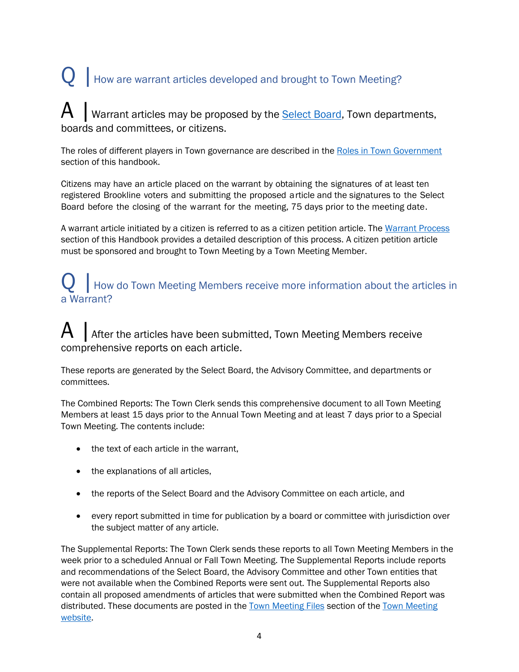## $\mathbf Q$  | How are warrant articles developed and brought to Town Meeting?

Warrant articles may be proposed by the **Select Board**, Town departments, boards and committees, or citizens.

The roles of different players in Town governance are described in the [Roles in Town Government](#page-11-1) section of this handbook.

Citizens may have an article placed on the warrant by obtaining the signatures of at least ten registered Brookline voters and submitting the proposed article and the signatures to the Select Board before the closing of the warrant for the meeting, 75 days prior to the meeting date.

A warrant article initiated by a citizen is referred to as a citizen petition article. The [Warrant Process](#page-20-0) section of this Handbook provides a detailed description of this process. A citizen petition article must be sponsored and brought to Town Meeting by a Town Meeting Member.

### $\sum$  | How do Town Meeting Members receive more information about the articles in a Warrant?

### $\mathsf{A}\mid$  After the articles have been submitted, Town Meeting Members receive comprehensive reports on each article.

These reports are generated by the Select Board, the Advisory Committee, and departments or committees.

The Combined Reports: The Town Clerk sends this comprehensive document to all Town Meeting Members at least 15 days prior to the Annual Town Meeting and at least 7 days prior to a Special Town Meeting. The contents include:

- the text of each article in the warrant,
- the explanations of all articles,
- the reports of the Select Board and the Advisory Committee on each article, and
- every report submitted in time for publication by a board or committee with jurisdiction over the subject matter of any article.

The Supplemental Reports: The Town Clerk sends these reports to all Town Meeting Members in the week prior to a scheduled Annual or Fall Town Meeting. The Supplemental Reports include reports and recommendations of the Select Board, the Advisory Committee and other Town entities that were not available when the Combined Reports were sent out. The Supplemental Reports also contain all proposed amendments of articles that were submitted when the Combined Report was distributed. These documents are posted in the [Town Meeting Files](https://www.brooklinema.gov/1020/Town-Meeting-Files) section of the [Town Meeting](http://www.brooklinema.gov/town-meeting)  [website.](http://www.brooklinema.gov/town-meeting)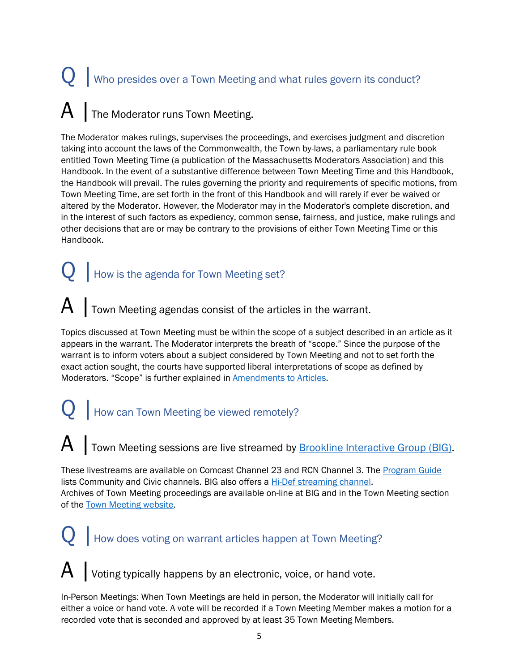# $\mathbf{Q}$   $\parallel$  Who presides over a Town Meeting and what rules govern its conduct?  $\mathsf{A}\mid$  The Moderator runs Town Meeting.

The Moderator makes rulings, supervises the proceedings, and exercises judgment and discretion taking into account the laws of the Commonwealth, the Town by-laws, a parliamentary rule book entitled Town Meeting Time (a publication of the Massachusetts Moderators Association) and this Handbook. In the event of a substantive difference between Town Meeting Time and this Handbook, the Handbook will prevail. The rules governing the priority and requirements of specific motions, from Town Meeting Time, are set forth in the front of this Handbook and will rarely if ever be waived or altered by the Moderator. However, the Moderator may in the Moderator's complete discretion, and in the interest of such factors as expediency, common sense, fairness, and justice, make rulings and other decisions that are or may be contrary to the provisions of either Town Meeting Time or this Handbook.

### $Q$  | How is the agenda for Town Meeting set?

### $\mathsf{A}$  | Town Meeting agendas consist of the articles in the warrant.

Topics discussed at Town Meeting must be within the scope of a subject described in an article as it appears in the warrant. The Moderator interprets the breath of "scope." Since the purpose of the warrant is to inform voters about a subject considered by Town Meeting and not to set forth the exact action sought, the courts have supported liberal interpretations of scope as defined by Moderators. "Scope" is further explained in [Amendments to](#page-23-0) Articles.

### $Q$  | How can Town Meeting be viewed remotely?

### A Town Meeting sessions are live streamed by **Brookline Interactive Group (BIG)**.

These livestreams are available on Comcast Channel 23 and RCN Channel 3. Th[e Program Guide](https://brooklineinteractive.org/program-guide/) lists Community and Civic channels. BIG also offers a [Hi-Def streaming channel.](https://brooklineinteractive.org/tv-channels-municipal-ch-2315/) Archives of Town Meeting proceedings are available on-line at BIG and in the Town Meeting section of the [Town Meeting website.](http://www.brooklinema.gov/town-meeting)

# $\mathbf{Q}$  | How does voting on warrant articles happen at Town Meeting?

 $A$  | Voting typically happens by an electronic, voice, or hand vote.

In-Person Meetings: When Town Meetings are held in person, the Moderator will initially call for either a voice or hand vote. A vote will be recorded if a Town Meeting Member makes a motion for a recorded vote that is seconded and approved by at least 35 Town Meeting Members.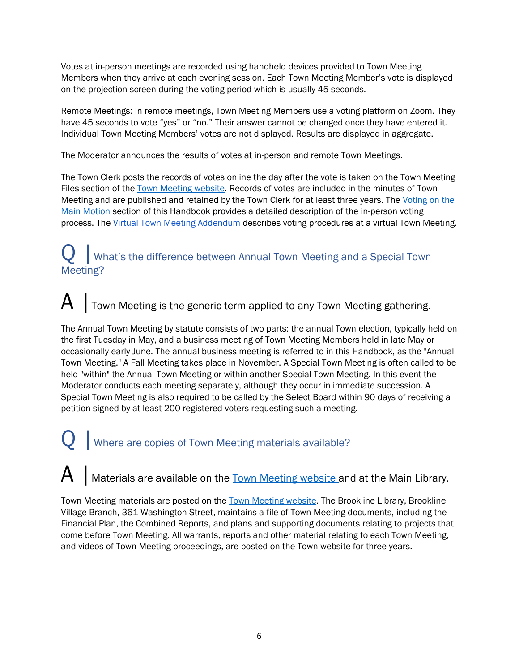Votes at in-person meetings are recorded using handheld devices provided to Town Meeting Members when they arrive at each evening session. Each Town Meeting Member's vote is displayed on the projection screen during the voting period which is usually 45 seconds.

Remote Meetings: In remote meetings, Town Meeting Members use a voting platform on Zoom. They have 45 seconds to vote "yes" or "no." Their answer cannot be changed once they have entered it. Individual Town Meeting Members' votes are not displayed. Results are displayed in aggregate.

The Moderator announces the results of votes at in-person and remote Town Meetings.

The Town Clerk posts the records of votes online the day after the vote is taken on the Town Meeting Files section of the [Town Meeting website.](http://www.brooklinema.gov/town-meeting) Records of votes are included in the minutes of Town Meeting and are published and retained by the Town Clerk for at least three years. The Voting on the Main Motion section of this Handbook provides a detailed description of the in-person voting process. The [Virtual Town Meeting Addendum](#page-54-0) describes voting procedures at a virtual Town Meeting.

### What's the difference between Annual Town Meeting and a Special Town Meeting?

### $\mathsf{A}\mid$  Town Meeting is the generic term applied to any Town Meeting gathering.

The Annual Town Meeting by statute consists of two parts: the annual Town election, typically held on the first Tuesday in May, and a business meeting of Town Meeting Members held in late May or occasionally early June. The annual business meeting is referred to in this Handbook, as the "Annual Town Meeting." A Fall Meeting takes place in November. A Special Town Meeting is often called to be held "within" the Annual Town Meeting or within another Special Town Meeting. In this event the Moderator conducts each meeting separately, although they occur in immediate succession. A Special Town Meeting is also required to be called by the Select Board within 90 days of receiving a petition signed by at least 200 registered voters requesting such a meeting.

### Q | Where are copies of Town Meeting materials available?

A | Materials are available on the **Town Meeting website** and at the Main Library.

Town Meeting materials are posted on the Town Meeting website. The Brookline Library, Brookline Village Branch, 361 Washington Street, maintains a file of Town Meeting documents, including the Financial Plan, the Combined Reports, and plans and supporting documents relating to projects that come before Town Meeting. All warrants, reports and other material relating to each Town Meeting, and videos of Town Meeting proceedings, are posted on the Town website for three years.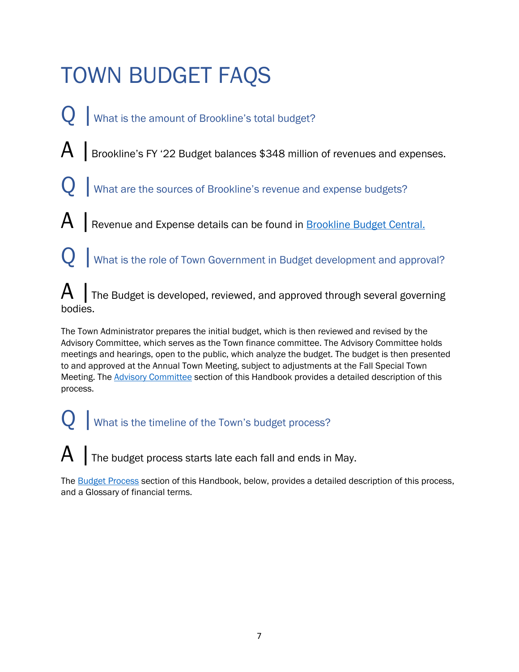## <span id="page-11-0"></span>TOWN BUDGET FAQS

- What is the amount of Brookline's total budget?
- $\mathsf{A}$  | Brookline's FY '22 Budget balances \$348 million of revenues and expenses.
	- What are the sources of Brookline's revenue and expense budgets?
- A | Revenue and Expense details can be found in **Brookline Budget Central.** 
	- What is the role of Town Government in Budget development and approval?

 $\mathsf A$  | The Budget is developed, reviewed, and approved through several governing bodies.

The Town Administrator prepares the initial budget, which is then reviewed and revised by the Advisory Committee, which serves as the Town finance committee. The Advisory Committee holds meetings and hearings, open to the public, which analyze the budget. The budget is then presented to and approved at the Annual Town Meeting, subject to adjustments at the Fall Special Town Meeting. The [Advisory Committee](#page-13-3) section of this Handbook provides a detailed description of this process.

What is the timeline of the Town's budget process?

 $\mathsf{A}$  | The budget process starts late each fall and ends in May.

<span id="page-11-1"></span>The **Budget Process** section of this Handbook, below, provides a detailed description of this process, and a Glossary of financial terms.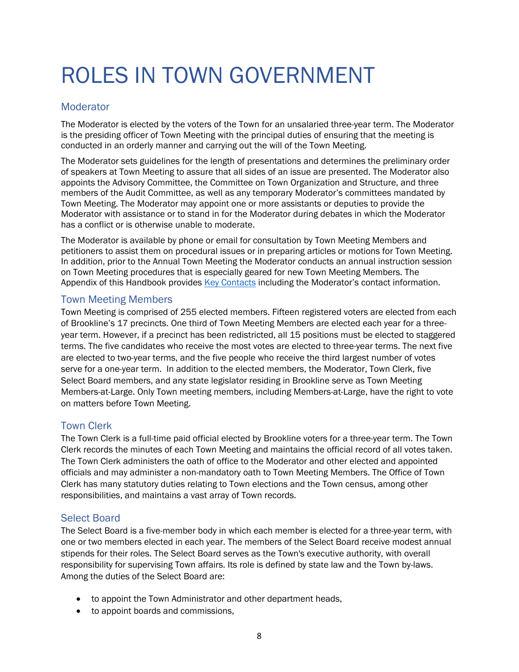## <span id="page-12-0"></span>ROLES IN TOWN GOVERNMENT

#### <span id="page-12-1"></span>**Moderator**

The Moderator is elected by the voters of the Town for an unsalaried three-year term. The Moderator is the presiding officer of Town Meeting with the principal duties of ensuring that the meeting is conducted in an orderly manner and carrying out the will of the Town Meeting.

The Moderator sets guidelines for the length of presentations and determines the preliminary order of speakers at Town Meeting to assure that all sides of an issue are presented. The Moderator also appoints the Advisory Committee, the Committee on Town Organization and Structure, and three members of the Audit Committee, as well as any temporary Moderator's committees mandated by Town Meeting. The Moderator may appoint one or more assistants or deputies to provide the Moderator with assistance or to stand in for the Moderator during debates in which the Moderator has a conflict or is otherwise unable to moderate.

The Moderator is available by phone or email for consultation by Town Meeting Members and petitioners to assist them on procedural issues or in preparing articles or motions for Town Meeting. In addition, prior to the Annual Town Meeting the Moderator conducts an annual instruction session on Town Meeting procedures that is especially geared for new Town Meeting Members. The Appendix of this Handbook provides [Key Contacts](#page-47-1) including the Moderator's contact information.

#### <span id="page-12-2"></span>Town Meeting Members

Town Meeting is comprised of 255 elected members. Fifteen registered voters are elected from each of Brookline's 17 precincts. One third of Town Meeting Members are elected each year for a threeyear term. However, if a precinct has been redistricted, all 15 positions must be elected to staggered terms. The five candidates who receive the most votes are elected to three-year terms. The next five are elected to two-year terms, and the five people who receive the third largest number of votes serve for a one-year term. In addition to the elected members, the Moderator, Town Clerk, five Select Board members, and any state legislator residing in Brookline serve as Town Meeting Members-at-Large. Only Town meeting members, including Members-at-Large, have the right to vote on matters before Town Meeting.

#### <span id="page-12-3"></span>Town Clerk

The Town Clerk is a full-time paid official elected by Brookline voters for a three-year term. The Town Clerk records the minutes of each Town Meeting and maintains the official record of all votes taken. The Town Clerk administers the oath of office to the Moderator and other elected and appointed officials and may administer a non-mandatory oath to Town Meeting Members. The Office of Town Clerk has many statutory duties relating to Town elections and the Town census, among other responsibilities, and maintains a vast array of Town records.

#### <span id="page-12-4"></span>Select Board

The Select Board is a five-member body in which each member is elected for a three-year term, with one or two members elected in each year. The members of the Select Board receive modest annual stipends for their roles. The Select Board serves as the Town's executive authority, with overall responsibility for supervising Town affairs. Its role is defined by state law and the Town by-laws. Among the duties of the Select Board are:

- to appoint the Town Administrator and other department heads,
- to appoint boards and commissions,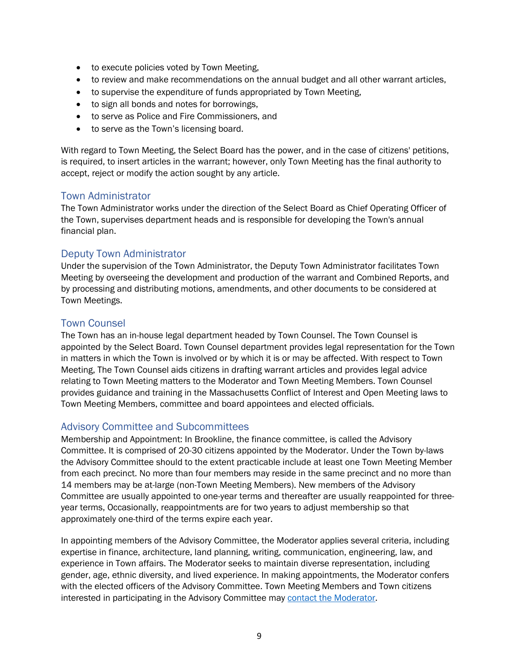- to execute policies voted by Town Meeting,
- to review and make recommendations on the annual budget and all other warrant articles,
- to supervise the expenditure of funds appropriated by Town Meeting,
- to sign all bonds and notes for borrowings,
- to serve as Police and Fire Commissioners, and
- to serve as the Town's licensing board.

With regard to Town Meeting, the Select Board has the power, and in the case of citizens' petitions, is required, to insert articles in the warrant; however, only Town Meeting has the final authority to accept, reject or modify the action sought by any article.

#### <span id="page-13-0"></span>Town Administrator

The Town Administrator works under the direction of the Select Board as Chief Operating Officer of the Town, supervises department heads and is responsible for developing the Town's annual financial plan.

#### <span id="page-13-1"></span>Deputy Town Administrator

Under the supervision of the Town Administrator, the Deputy Town Administrator facilitates Town Meeting by overseeing the development and production of the warrant and Combined Reports, and by processing and distributing motions, amendments, and other documents to be considered at Town Meetings.

#### <span id="page-13-2"></span>Town Counsel

The Town has an in-house legal department headed by Town Counsel. The Town Counsel is appointed by the Select Board. Town Counsel department provides legal representation for the Town in matters in which the Town is involved or by which it is or may be affected. With respect to Town Meeting, The Town Counsel aids citizens in drafting warrant articles and provides legal advice relating to Town Meeting matters to the Moderator and Town Meeting Members. Town Counsel provides guidance and training in the Massachusetts Conflict of Interest and Open Meeting laws to Town Meeting Members, committee and board appointees and elected officials.

#### <span id="page-13-3"></span>Advisory Committee and Subcommittees

Membership and Appointment: In Brookline, the finance committee, is called the Advisory Committee. It is comprised of 20-30 citizens appointed by the Moderator. Under the Town by-laws the Advisory Committee should to the extent practicable include at least one Town Meeting Member from each precinct. No more than four members may reside in the same precinct and no more than 14 members may be at-large (non-Town Meeting Members). New members of the Advisory Committee are usually appointed to one-year terms and thereafter are usually reappointed for threeyear terms, Occasionally, reappointments are for two years to adjust membership so that approximately one-third of the terms expire each year.

In appointing members of the Advisory Committee, the Moderator applies several criteria, including expertise in finance, architecture, land planning, writing, communication, engineering, law, and experience in Town affairs. The Moderator seeks to maintain diverse representation, including gender, age, ethnic diversity, and lived experience. In making appointments, the Moderator confers with the elected officers of the Advisory Committee. Town Meeting Members and Town citizens interested in participating in the Advisory Committee may [contact the Moderator.](mailto:kpoverman@brooklinema.gov?subject=Advisory%20Committee)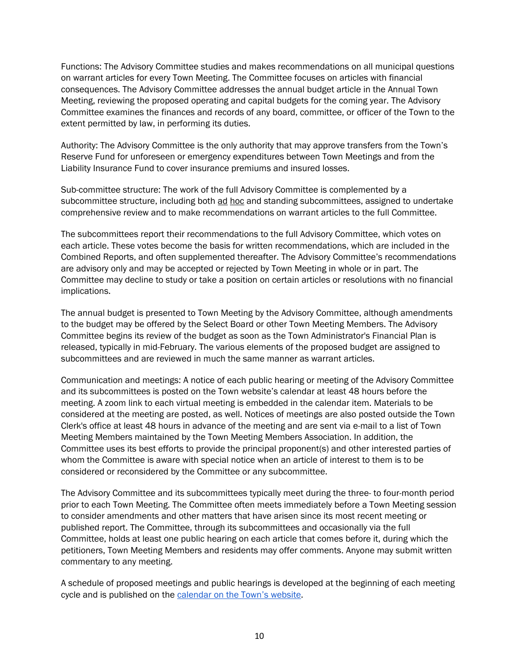Functions: The Advisory Committee studies and makes recommendations on all municipal questions on warrant articles for every Town Meeting. The Committee focuses on articles with financial consequences. The Advisory Committee addresses the annual budget article in the Annual Town Meeting, reviewing the proposed operating and capital budgets for the coming year. The Advisory Committee examines the finances and records of any board, committee, or officer of the Town to the extent permitted by law, in performing its duties.

Authority: The Advisory Committee is the only authority that may approve transfers from the Town's Reserve Fund for unforeseen or emergency expenditures between Town Meetings and from the Liability Insurance Fund to cover insurance premiums and insured losses.

Sub-committee structure: The work of the full Advisory Committee is complemented by a subcommittee structure, including both ad hoc and standing subcommittees, assigned to undertake comprehensive review and to make recommendations on warrant articles to the full Committee.

The subcommittees report their recommendations to the full Advisory Committee, which votes on each article. These votes become the basis for written recommendations, which are included in the Combined Reports, and often supplemented thereafter. The Advisory Committee's recommendations are advisory only and may be accepted or rejected by Town Meeting in whole or in part. The Committee may decline to study or take a position on certain articles or resolutions with no financial implications.

The annual budget is presented to Town Meeting by the Advisory Committee, although amendments to the budget may be offered by the Select Board or other Town Meeting Members. The Advisory Committee begins its review of the budget as soon as the Town Administrator's Financial Plan is released, typically in mid-February. The various elements of the proposed budget are assigned to subcommittees and are reviewed in much the same manner as warrant articles.

Communication and meetings: A notice of each public hearing or meeting of the Advisory Committee and its subcommittees is posted on the Town website's calendar at least 48 hours before the meeting. A zoom link to each virtual meeting is embedded in the calendar item. Materials to be considered at the meeting are posted, as well. Notices of meetings are also posted outside the Town Clerk's office at least 48 hours in advance of the meeting and are sent via e-mail to a list of Town Meeting Members maintained by the Town Meeting Members Association. In addition, the Committee uses its best efforts to provide the principal proponent(s) and other interested parties of whom the Committee is aware with special notice when an article of interest to them is to be considered or reconsidered by the Committee or any subcommittee.

The Advisory Committee and its subcommittees typically meet during the three- to four-month period prior to each Town Meeting. The Committee often meets immediately before a Town Meeting session to consider amendments and other matters that have arisen since its most recent meeting or published report. The Committee, through its subcommittees and occasionally via the full Committee, holds at least one public hearing on each article that comes before it, during which the petitioners, Town Meeting Members and residents may offer comments. Anyone may submit written commentary to any meeting.

A schedule of proposed meetings and public hearings is developed at the beginning of each meeting cycle and is published on the [calendar on the Town's](https://www.brooklinema.gov/calendar.aspx) [website.](https://www.brooklinema.gov/calendar.aspx)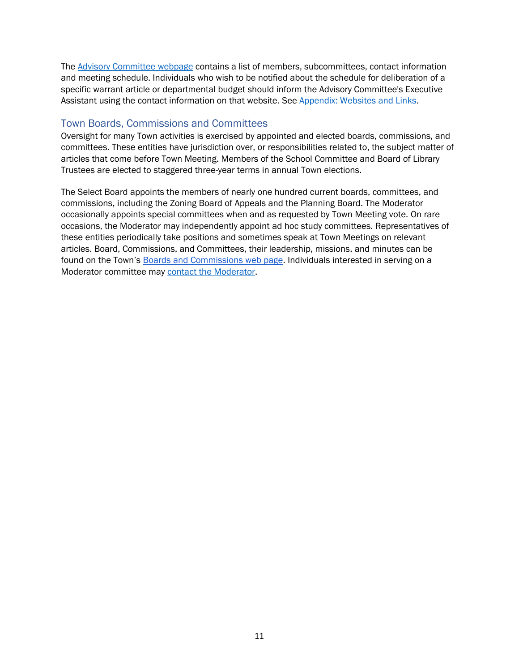The [Advisory Committee webpage](https://www.brooklinema.gov/166/Advisory-Committee) contains a list of members, subcommittees, contact information and meeting schedule. Individuals who wish to be notified about the schedule for deliberation of a specific warrant article or departmental budget should inform the Advisory Committee's Executive Assistant using the contact information on that website. See [Appendix: Websites and Links.](#page-47-2)

#### <span id="page-15-0"></span>Town Boards, Commissions and Committees

Oversight for many Town activities is exercised by appointed and elected boards, commissions, and committees. These entities have jurisdiction over, or responsibilities related to, the subject matter of articles that come before Town Meeting. Members of the School Committee and Board of Library Trustees are elected to staggered three-year terms in annual Town elections.

The Select Board appoints the members of nearly one hundred current boards, committees, and commissions, including the Zoning Board of Appeals and the Planning Board. The Moderator occasionally appoints special committees when and as requested by Town Meeting vote. On rare occasions, the Moderator may independently appoint ad hoc study committees. Representatives of these entities periodically take positions and sometimes speak at Town Meetings on relevant articles. Board, Commissions, and Committees, their leadership, missions, and minutes can be found on the Town's [Boards and Commissions web page.](https://www.brooklinema.gov/165/Boards-Commissions) Individuals interested in serving on a Moderator committee may [contact the Moderator.](mailto:kpoverman@brooklinema.gov?subject=Moderator%20Committees)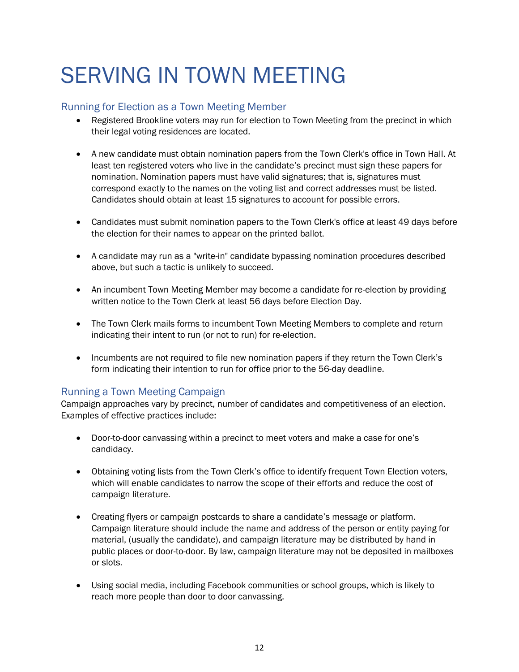### <span id="page-16-0"></span>SERVING IN TOWN MEETING

#### <span id="page-16-1"></span>Running for Election as a Town Meeting Member

- Registered Brookline voters may run for election to Town Meeting from the precinct in which their legal voting residences are located.
- A new candidate must obtain nomination papers from the Town Clerk's office in Town Hall. At least ten registered voters who live in the candidate's precinct must sign these papers for nomination. Nomination papers must have valid signatures; that is, signatures must correspond exactly to the names on the voting list and correct addresses must be listed. Candidates should obtain at least 15 signatures to account for possible errors.
- Candidates must submit nomination papers to the Town Clerk's office at least 49 days before the election for their names to appear on the printed ballot.
- A candidate may run as a "write-in" candidate bypassing nomination procedures described above, but such a tactic is unlikely to succeed.
- An incumbent Town Meeting Member may become a candidate for re-election by providing written notice to the Town Clerk at least 56 days before Election Day.
- The Town Clerk mails forms to incumbent Town Meeting Members to complete and return indicating their intent to run (or not to run) for re-election.
- Incumbents are not required to file new nomination papers if they return the Town Clerk's form indicating their intention to run for office prior to the 56-day deadline.

#### <span id="page-16-2"></span>Running a Town Meeting Campaign

Campaign approaches vary by precinct, number of candidates and competitiveness of an election. Examples of effective practices include:

- Door-to-door canvassing within a precinct to meet voters and make a case for one's candidacy.
- Obtaining voting lists from the Town Clerk's office to identify frequent Town Election voters, which will enable candidates to narrow the scope of their efforts and reduce the cost of campaign literature.
- Creating flyers or campaign postcards to share a candidate's message or platform. Campaign literature should include the name and address of the person or entity paying for material, (usually the candidate), and campaign literature may be distributed by hand in public places or door-to-door. By law, campaign literature may not be deposited in mailboxes or slots.
- Using social media, including Facebook communities or school groups, which is likely to reach more people than door to door canvassing.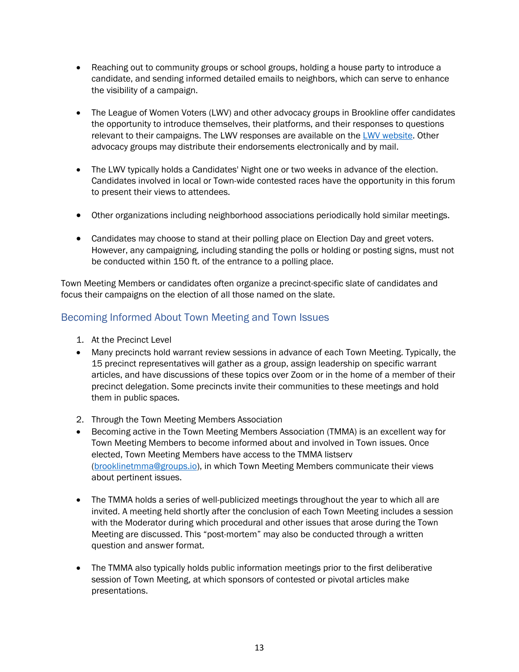- Reaching out to community groups or school groups, holding a house party to introduce a candidate, and sending informed detailed emails to neighbors, which can serve to enhance the visibility of a campaign.
- The League of Women Voters (LWV) and other advocacy groups in Brookline offer candidates the opportunity to introduce themselves, their platforms, and their responses to questions relevant to their campaigns. The LWV responses are available on the [LWV website.](https://my.lwv.org/massachusetts/brookline) Other advocacy groups may distribute their endorsements electronically and by mail.
- The LWV typically holds a Candidates' Night one or two weeks in advance of the election. Candidates involved in local or Town-wide contested races have the opportunity in this forum to present their views to attendees.
- Other organizations including neighborhood associations periodically hold similar meetings.
- Candidates may choose to stand at their polling place on Election Day and greet voters. However, any campaigning, including standing the polls or holding or posting signs, must not be conducted within 150 ft. of the entrance to a polling place.

Town Meeting Members or candidates often organize a precinct-specific slate of candidates and focus their campaigns on the election of all those named on the slate.

#### <span id="page-17-0"></span>Becoming Informed About Town Meeting and Town Issues

- 1. At the Precinct Level
- Many precincts hold warrant review sessions in advance of each Town Meeting. Typically, the 15 precinct representatives will gather as a group, assign leadership on specific warrant articles, and have discussions of these topics over Zoom or in the home of a member of their precinct delegation. Some precincts invite their communities to these meetings and hold them in public spaces.
- 2. Through the Town Meeting Members Association
- Becoming active in the Town Meeting Members Association (TMMA) is an excellent way for Town Meeting Members to become informed about and involved in Town issues. Once elected, Town Meeting Members have access to the TMMA listserv [\(brooklinetmma@groups.io\)](mailto:brooklinetmma@groups.io), in which Town Meeting Members communicate their views about pertinent issues.
- The TMMA holds a series of well-publicized meetings throughout the year to which all are invited. A meeting held shortly after the conclusion of each Town Meeting includes a session with the Moderator during which procedural and other issues that arose during the Town Meeting are discussed. This "post-mortem" may also be conducted through a written question and answer format.
- The TMMA also typically holds public information meetings prior to the first deliberative session of Town Meeting, at which sponsors of contested or pivotal articles make presentations.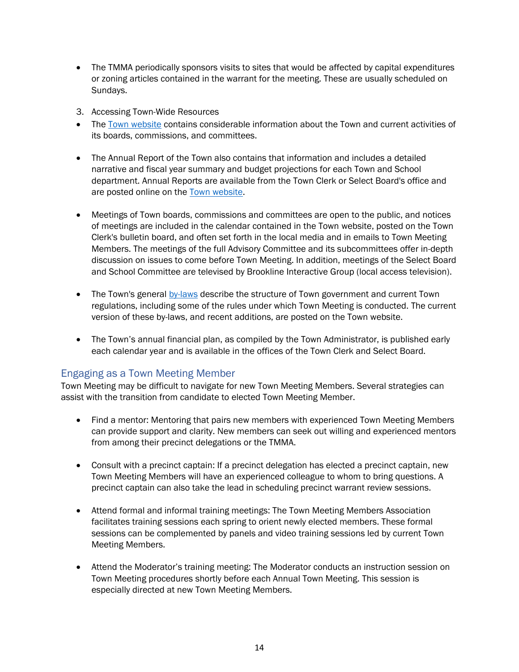- The TMMA periodically sponsors visits to sites that would be affected by capital expenditures or zoning articles contained in the warrant for the meeting. These are usually scheduled on Sundays.
- 3. Accessing Town-Wide Resources
- The Town [website](http://www.brooklinema.gov/) contains considerable information about the Town and current activities of its boards, commissions, and committees.
- The Annual Report of the Town also contains that information and includes a detailed narrative and fiscal year summary and budget projections for each Town and School department. Annual Reports are available from the Town Clerk or Select Board's office and are posted online on the [Town website.](https://www.brooklinema.gov/349/Annual-Reports)
- Meetings of Town boards, commissions and committees are open to the public, and notices of meetings are included in the calendar contained in the Town website, posted on the Town Clerk's bulletin board, and often set forth in the local media and in emails to Town Meeting Members. The meetings of the full Advisory Committee and its subcommittees offer in-depth discussion on issues to come before Town Meeting. In addition, meetings of the Select Board and School Committee are televised by Brookline Interactive Group (local access television).
- The Town's general [by-laws](https://www.brooklinema.gov/310/Town-By-Laws) describe the structure of Town government and current Town regulations, including some of the rules under which Town Meeting is conducted. The current version of these by-laws, and recent additions, are posted on the Town website.
- The Town's annual financial plan, as compiled by the Town Administrator, is published early each calendar year and is available in the offices of the Town Clerk and Select Board.

#### <span id="page-18-0"></span>Engaging as a Town Meeting Member

Town Meeting may be difficult to navigate for new Town Meeting Members. Several strategies can assist with the transition from candidate to elected Town Meeting Member.

- Find a mentor: Mentoring that pairs new members with experienced Town Meeting Members can provide support and clarity. New members can seek out willing and experienced mentors from among their precinct delegations or the TMMA.
- Consult with a precinct captain: If a precinct delegation has elected a precinct captain, new Town Meeting Members will have an experienced colleague to whom to bring questions. A precinct captain can also take the lead in scheduling precinct warrant review sessions.
- Attend formal and informal training meetings: The Town Meeting Members Association facilitates training sessions each spring to orient newly elected members. These formal sessions can be complemented by panels and video training sessions led by current Town Meeting Members.
- Attend the Moderator's training meeting: The Moderator conducts an instruction session on Town Meeting procedures shortly before each Annual Town Meeting. This session is especially directed at new Town Meeting Members.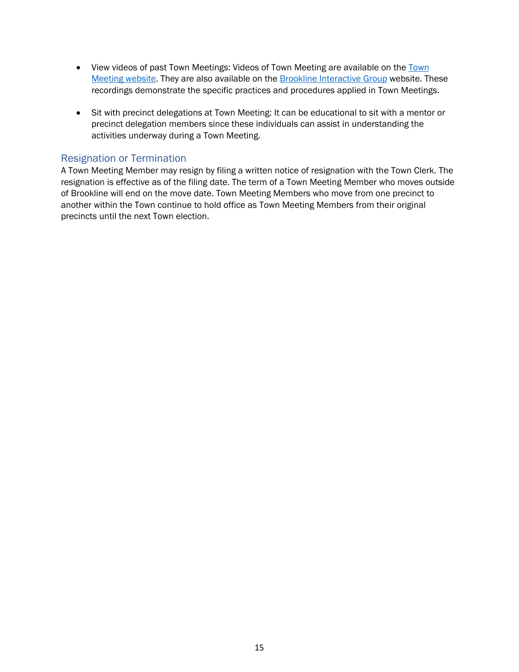- View videos of past [Town](http://www.brooklinema.gov/town-meeting) Meetings: Videos of Town Meeting are available on the Town [Meeting website.](http://www.brooklinema.gov/town-meeting) They are also available on the [Brookline Interactive Group](https://brooklineinteractive.org/) website. These recordings demonstrate the specific practices and procedures applied in Town Meetings.
- Sit with precinct delegations at Town Meeting: It can be educational to sit with a mentor or precinct delegation members since these individuals can assist in understanding the activities underway during a Town Meeting.

#### <span id="page-19-0"></span>Resignation or Termination

A Town Meeting Member may resign by filing a written notice of resignation with the Town Clerk. The resignation is effective as of the filing date. The term of a Town Meeting Member who moves outside of Brookline will end on the move date. Town Meeting Members who move from one precinct to another within the Town continue to hold office as Town Meeting Members from their original precincts until the next Town election.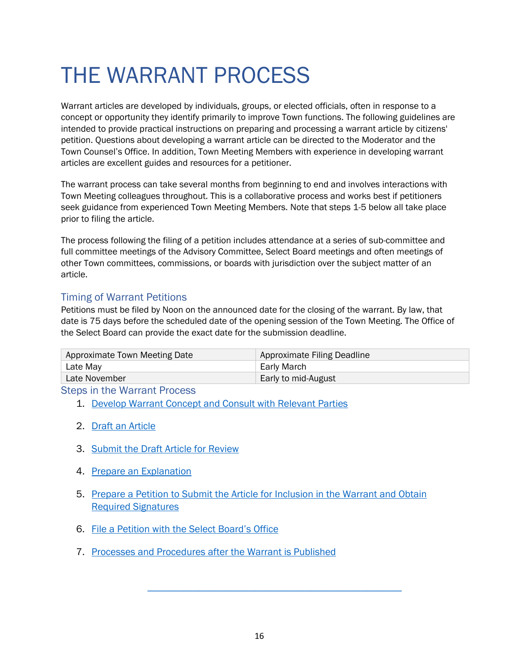### <span id="page-20-0"></span>THE WARRANT PROCESS

Warrant articles are developed by individuals, groups, or elected officials, often in response to a concept or opportunity they identify primarily to improve Town functions. The following guidelines are intended to provide practical instructions on preparing and processing a warrant article by citizens' petition. Questions about developing a warrant article can be directed to the Moderator and the Town Counsel's Office. In addition, Town Meeting Members with experience in developing warrant articles are excellent guides and resources for a petitioner.

The warrant process can take several months from beginning to end and involves interactions with Town Meeting colleagues throughout. This is a collaborative process and works best if petitioners seek guidance from experienced Town Meeting Members. Note that steps 1-5 below all take place prior to filing the article.

The process following the filing of a petition includes attendance at a series of sub-committee and full committee meetings of the Advisory Committee, Select Board meetings and often meetings of other Town committees, commissions, or boards with jurisdiction over the subject matter of an article.

#### <span id="page-20-1"></span>Timing of Warrant Petitions

Petitions must be filed by Noon on the announced date for the closing of the warrant. By law, that date is 75 days before the scheduled date of the opening session of the Town Meeting. The Office of the Select Board can provide the exact date for the submission deadline.

| Approximate Town Meeting Date | Approximate Filing Deadline |  |
|-------------------------------|-----------------------------|--|
| Late May                      | Early March                 |  |
| Late November                 | Early to mid-August         |  |

<span id="page-20-2"></span>Steps in the Warrant Process

- 1. [Develop Warrant Concept and Consult with Relevant Parties](#page-21-0)
- 2. [Draft an](#page-21-1) Article
- 3. [Submit the Draft Article for Review](#page-22-0)
- 4. [Prepare an Explanation](#page-22-1)
- 5. [Prepare a Petition to Submit the Article for Inclusion in the Warrant and Obtain](#page-22-2)  [Required Signatures](#page-22-2)
- 6. File a Petition [with the Select Board's Office](#page-22-3)
- 7. [Processes and Procedures after the Warrant is Published](#page-23-1)

 $\mathcal{L}_\text{max} = \mathcal{L}_\text{max} = \mathcal{L}_\text{max} = \mathcal{L}_\text{max} = \mathcal{L}_\text{max} = \mathcal{L}_\text{max} = \mathcal{L}_\text{max}$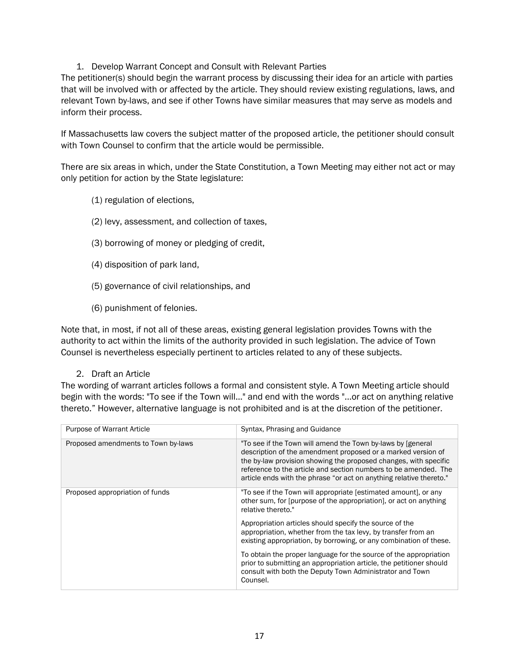#### 1. Develop Warrant Concept and Consult with Relevant Parties

<span id="page-21-0"></span>The petitioner(s) should begin the warrant process by discussing their idea for an article with parties that will be involved with or affected by the article. They should review existing regulations, laws, and relevant Town by-laws, and see if other Towns have similar measures that may serve as models and inform their process.

If Massachusetts law covers the subject matter of the proposed article, the petitioner should consult with Town Counsel to confirm that the article would be permissible.

There are six areas in which, under the State Constitution, a Town Meeting may either not act or may only petition for action by the State legislature:

- (1) regulation of elections,
- (2) levy, assessment, and collection of taxes,
- (3) borrowing of money or pledging of credit,
- (4) disposition of park land,
- (5) governance of civil relationships, and
- (6) punishment of felonies.

Note that, in most, if not all of these areas, existing general legislation provides Towns with the authority to act within the limits of the authority provided in such legislation. The advice of Town Counsel is nevertheless especially pertinent to articles related to any of these subjects.

#### 2. Draft an Article

<span id="page-21-1"></span>The wording of warrant articles follows a formal and consistent style. A Town Meeting article should begin with the words: "To see if the Town will…" and end with the words "...or act on anything relative thereto." However, alternative language is not prohibited and is at the discretion of the petitioner.

| <b>Purpose of Warrant Article</b>   | Syntax, Phrasing and Guidance                                                                                                                                                                                                                                                                                                              |
|-------------------------------------|--------------------------------------------------------------------------------------------------------------------------------------------------------------------------------------------------------------------------------------------------------------------------------------------------------------------------------------------|
| Proposed amendments to Town by-laws | "To see if the Town will amend the Town by-laws by [general]<br>description of the amendment proposed or a marked version of<br>the by-law provision showing the proposed changes, with specific<br>reference to the article and section numbers to be amended. The<br>article ends with the phrase "or act on anything relative thereto." |
| Proposed appropriation of funds     | "To see if the Town will appropriate [estimated amount], or any<br>other sum, for [purpose of the appropriation], or act on anything<br>relative thereto."                                                                                                                                                                                 |
|                                     | Appropriation articles should specify the source of the<br>appropriation, whether from the tax levy, by transfer from an<br>existing appropriation, by borrowing, or any combination of these.                                                                                                                                             |
|                                     | To obtain the proper language for the source of the appropriation<br>prior to submitting an appropriation article, the petitioner should<br>consult with both the Deputy Town Administrator and Town<br>Counsel.                                                                                                                           |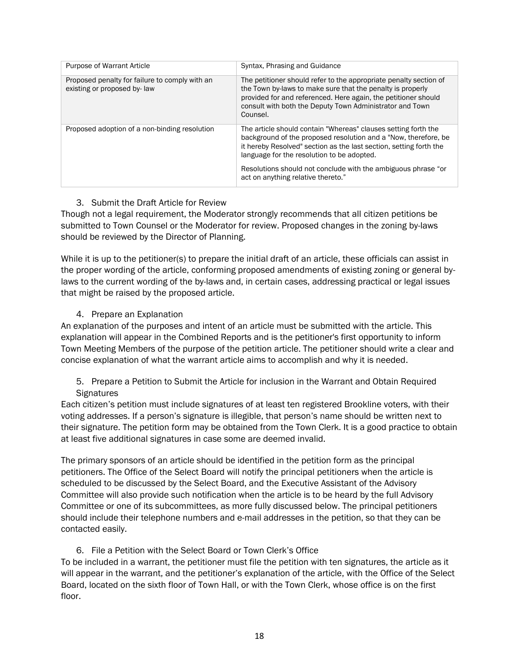| <b>Purpose of Warrant Article</b>                                             | Syntax, Phrasing and Guidance                                                                                                                                                                                                                                                                                          |
|-------------------------------------------------------------------------------|------------------------------------------------------------------------------------------------------------------------------------------------------------------------------------------------------------------------------------------------------------------------------------------------------------------------|
| Proposed penalty for failure to comply with an<br>existing or proposed by-law | The petitioner should refer to the appropriate penalty section of<br>the Town by-laws to make sure that the penalty is properly<br>provided for and referenced. Here again, the petitioner should<br>consult with both the Deputy Town Administrator and Town<br>Counsel.                                              |
| Proposed adoption of a non-binding resolution                                 | The article should contain "Whereas" clauses setting forth the<br>background of the proposed resolution and a "Now, therefore, be<br>it hereby Resolved" section as the last section, setting forth the<br>language for the resolution to be adopted.<br>Resolutions should not conclude with the ambiguous phrase "or |
|                                                                               | act on anything relative thereto."                                                                                                                                                                                                                                                                                     |

#### <span id="page-22-0"></span>3. Submit the Draft Article for Review

Though not a legal requirement, the Moderator strongly recommends that all citizen petitions be submitted to Town Counsel or the Moderator for review. Proposed changes in the zoning by-laws should be reviewed by the Director of Planning.

While it is up to the petitioner(s) to prepare the initial draft of an article, these officials can assist in the proper wording of the article, conforming proposed amendments of existing zoning or general bylaws to the current wording of the by-laws and, in certain cases, addressing practical or legal issues that might be raised by the proposed article.

#### 4. Prepare an Explanation

<span id="page-22-1"></span>An explanation of the purposes and intent of an article must be submitted with the article. This explanation will appear in the Combined Reports and is the petitioner's first opportunity to inform Town Meeting Members of the purpose of the petition article. The petitioner should write a clear and concise explanation of what the warrant article aims to accomplish and why it is needed.

<span id="page-22-2"></span>5. Prepare a Petition to Submit the Article for inclusion in the Warrant and Obtain Required **Signatures** 

Each citizen's petition must include signatures of at least ten registered Brookline voters, with their voting addresses. If a person's signature is illegible, that person's name should be written next to their signature. The petition form may be obtained from the Town Clerk. It is a good practice to obtain at least five additional signatures in case some are deemed invalid.

The primary sponsors of an article should be identified in the petition form as the principal petitioners. The Office of the Select Board will notify the principal petitioners when the article is scheduled to be discussed by the Select Board, and the Executive Assistant of the Advisory Committee will also provide such notification when the article is to be heard by the full Advisory Committee or one of its subcommittees, as more fully discussed below. The principal petitioners should include their telephone numbers and e-mail addresses in the petition, so that they can be contacted easily.

#### 6. File a Petition with the Select Board or Town Clerk's Office

<span id="page-22-3"></span>To be included in a warrant, the petitioner must file the petition with ten signatures, the article as it will appear in the warrant, and the petitioner's explanation of the article, with the Office of the Select Board, located on the sixth floor of Town Hall, or with the Town Clerk, whose office is on the first floor.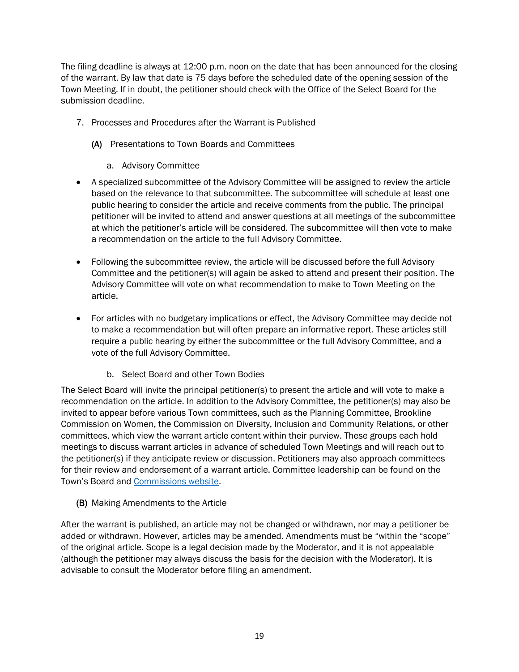The filing deadline is always at 12:00 p.m. noon on the date that has been announced for the closing of the warrant. By law that date is 75 days before the scheduled date of the opening session of the Town Meeting. If in doubt, the petitioner should check with the Office of the Select Board for the submission deadline.

- <span id="page-23-1"></span>7. Processes and Procedures after the Warrant is Published
	- (A) Presentations to Town Boards and Committees
		- a. Advisory Committee
- A specialized subcommittee of the Advisory Committee will be assigned to review the article based on the relevance to that subcommittee. The subcommittee will schedule at least one public hearing to consider the article and receive comments from the public. The principal petitioner will be invited to attend and answer questions at all meetings of the subcommittee at which the petitioner's article will be considered. The subcommittee will then vote to make a recommendation on the article to the full Advisory Committee.
- Following the subcommittee review, the article will be discussed before the full Advisory Committee and the petitioner(s) will again be asked to attend and present their position. The Advisory Committee will vote on what recommendation to make to Town Meeting on the article.
- For articles with no budgetary implications or effect, the Advisory Committee may decide not to make a recommendation but will often prepare an informative report. These articles still require a public hearing by either the subcommittee or the full Advisory Committee, and a vote of the full Advisory Committee.
	- b. Select Board and other Town Bodies

The Select Board will invite the principal petitioner(s) to present the article and will vote to make a recommendation on the article. In addition to the Advisory Committee, the petitioner(s) may also be invited to appear before various Town committees, such as the Planning Committee, Brookline Commission on Women, the Commission on Diversity, Inclusion and Community Relations, or other committees, which view the warrant article content within their purview. These groups each hold meetings to discuss warrant articles in advance of scheduled Town Meetings and will reach out to the petitioner(s) if they anticipate review or discussion. Petitioners may also approach committees for their review and endorsement of a warrant article. Committee leadership can be found on the Town's Board and [Commissions website.](https://www.brooklinema.gov/165/Boards-Commissions) 

<span id="page-23-0"></span>(B) Making Amendments to the Article

After the warrant is published, an article may not be changed or withdrawn, nor may a petitioner be added or withdrawn. However, articles may be amended. Amendments must be "within the "scope" of the original article. Scope is a legal decision made by the Moderator, and it is not appealable (although the petitioner may always discuss the basis for the decision with the Moderator). It is advisable to consult the Moderator before filing an amendment.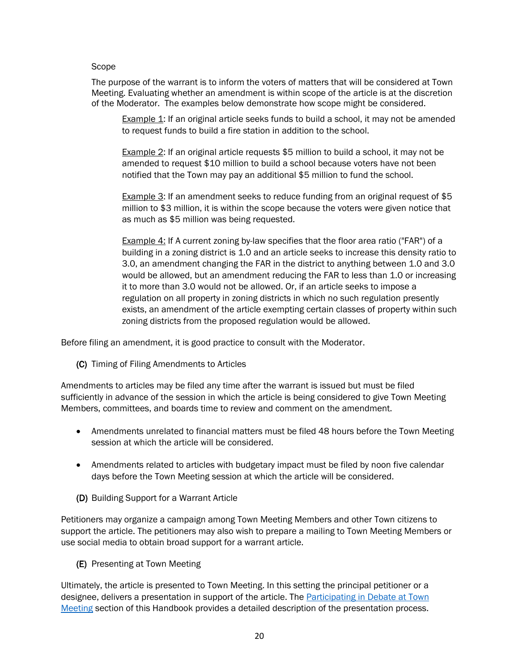#### <span id="page-24-0"></span>Scope

The purpose of the warrant is to inform the voters of matters that will be considered at Town Meeting. Evaluating whether an amendment is within scope of the article is at the discretion of the Moderator. The examples below demonstrate how scope might be considered.

Example 1: If an original article seeks funds to build a school, it may not be amended to request funds to build a fire station in addition to the school.

Example 2: If an original article requests \$5 million to build a school, it may not be amended to request \$10 million to build a school because voters have not been notified that the Town may pay an additional \$5 million to fund the school.

Example 3: If an amendment seeks to reduce funding from an original request of \$5 million to \$3 million, it is within the scope because the voters were given notice that as much as \$5 million was being requested.

Example 4: If A current zoning by-law specifies that the floor area ratio ("FAR") of a building in a zoning district is 1.0 and an article seeks to increase this density ratio to 3.0, an amendment changing the FAR in the district to anything between 1.0 and 3.0 would be allowed, but an amendment reducing the FAR to less than 1.0 or increasing it to more than 3.0 would not be allowed. Or, if an article seeks to impose a regulation on all property in zoning districts in which no such regulation presently exists, an amendment of the article exempting certain classes of property within such zoning districts from the proposed regulation would be allowed.

Before filing an amendment, it is good practice to consult with the Moderator.

(C) Timing of Filing Amendments to Articles

Amendments to articles may be filed any time after the warrant is issued but must be filed sufficiently in advance of the session in which the article is being considered to give Town Meeting Members, committees, and boards time to review and comment on the amendment.

- Amendments unrelated to financial matters must be filed 48 hours before the Town Meeting session at which the article will be considered.
- Amendments related to articles with budgetary impact must be filed by noon five calendar days before the Town Meeting session at which the article will be considered.
- (D) Building Support for a Warrant Article

Petitioners may organize a campaign among Town Meeting Members and other Town citizens to support the article. The petitioners may also wish to prepare a mailing to Town Meeting Members or use social media to obtain broad support for a warrant article.

(E) Presenting at Town Meeting

Ultimately, the article is presented to Town Meeting. In this setting the principal petitioner or a designee, delivers a presentation in support of the article. The Participating in Debate at Town [Meeting](#page-34-0) section of this Handbook provides a detailed description of the presentation process.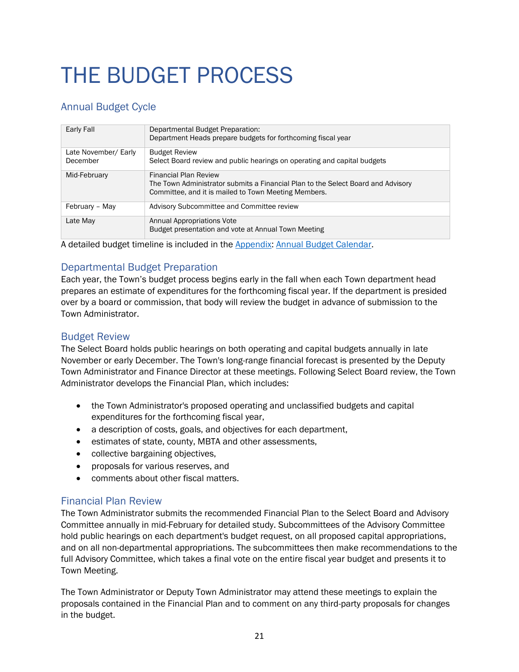## <span id="page-25-0"></span>THE BUDGET PROCESS

#### <span id="page-25-1"></span>Annual Budget Cycle

| Early Fall                       | Departmental Budget Preparation:<br>Department Heads prepare budgets for forthcoming fiscal year                                                                         |
|----------------------------------|--------------------------------------------------------------------------------------------------------------------------------------------------------------------------|
| Late November/ Early<br>December | <b>Budget Review</b><br>Select Board review and public hearings on operating and capital budgets                                                                         |
| Mid-February                     | <b>Financial Plan Review</b><br>The Town Administrator submits a Financial Plan to the Select Board and Advisory<br>Committee, and it is mailed to Town Meeting Members. |
| February - May                   | Advisory Subcommittee and Committee review                                                                                                                               |
| Late May                         | Annual Appropriations Vote<br>Budget presentation and vote at Annual Town Meeting                                                                                        |

A detailed budget timeline is included in the [Appendix: Annual Budget Calendar.](#page-48-0)

#### <span id="page-25-2"></span>Departmental Budget Preparation

Each year, the Town's budget process begins early in the fall when each Town department head prepares an estimate of expenditures for the forthcoming fiscal year. If the department is presided over by a board or commission, that body will review the budget in advance of submission to the Town Administrator.

#### <span id="page-25-3"></span>Budget Review

The Select Board holds public hearings on both operating and capital budgets annually in late November or early December. The Town's long-range financial forecast is presented by the Deputy Town Administrator and Finance Director at these meetings. Following Select Board review, the Town Administrator develops the Financial Plan, which includes:

- the Town Administrator's proposed operating and unclassified budgets and capital expenditures for the forthcoming fiscal year,
- a description of costs, goals, and objectives for each department,
- estimates of state, county, MBTA and other assessments,
- collective bargaining objectives,
- proposals for various reserves, and
- comments about other fiscal matters.

#### <span id="page-25-4"></span>Financial Plan Review

The Town Administrator submits the recommended Financial Plan to the Select Board and Advisory Committee annually in mid-February for detailed study. Subcommittees of the Advisory Committee hold public hearings on each department's budget request, on all proposed capital appropriations, and on all non-departmental appropriations. The subcommittees then make recommendations to the full Advisory Committee, which takes a final vote on the entire fiscal year budget and presents it to Town Meeting.

The Town Administrator or Deputy Town Administrator may attend these meetings to explain the proposals contained in the Financial Plan and to comment on any third-party proposals for changes in the budget.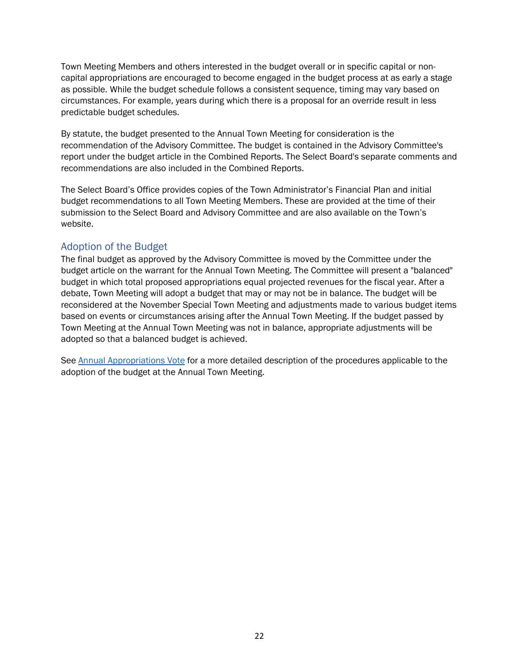Town Meeting Members and others interested in the budget overall or in specific capital or noncapital appropriations are encouraged to become engaged in the budget process at as early a stage as possible. While the budget schedule follows a consistent sequence, timing may vary based on circumstances. For example, years during which there is a proposal for an override result in less predictable budget schedules.

By statute, the budget presented to the Annual Town Meeting for consideration is the recommendation of the Advisory Committee. The budget is contained in the Advisory Committee's report under the budget article in the Combined Reports. The Select Board's separate comments and recommendations are also included in the Combined Reports.

The Select Board's Office provides copies of the Town Administrator's Financial Plan and initial budget recommendations to all Town Meeting Members. These are provided at the time of their submission to the Select Board and Advisory Committee and are also available on the Town's website.

#### <span id="page-26-0"></span>Adoption of the Budget

The final budget as approved by the Advisory Committee is moved by the Committee under the budget article on the warrant for the Annual Town Meeting. The Committee will present a "balanced" budget in which total proposed appropriations equal projected revenues for the fiscal year. After a debate, Town Meeting will adopt a budget that may or may not be in balance. The budget will be reconsidered at the November Special Town Meeting and adjustments made to various budget items based on events or circumstances arising after the Annual Town Meeting. If the budget passed by Town Meeting at the Annual Town Meeting was not in balance, appropriate adjustments will be adopted so that a balanced budget is achieved.

See [Annual Appropriations Vote](#page-42-2) for a more detailed description of the procedures applicable to the adoption of the budget at the Annual Town Meeting.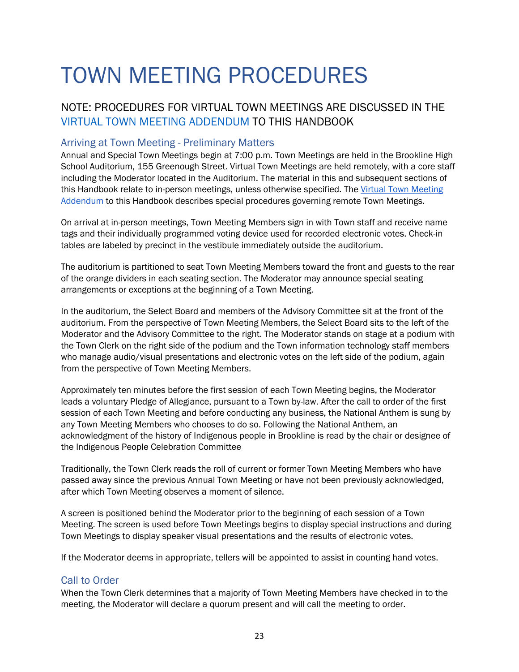## <span id="page-27-0"></span>TOWN MEETING PROCEDURES

#### NOTE: PROCEDURES FOR VIRTUAL TOWN MEETINGS ARE DISCUSSED IN THE [VIRTUAL TOWN MEETING ADDENDUM](#page-54-0) TO THIS HANDBOOK

#### <span id="page-27-1"></span>Arriving at Town Meeting - Preliminary Matters

Annual and Special Town Meetings begin at 7:00 p.m. Town Meetings are held in the Brookline High School Auditorium, 155 Greenough Street. Virtual Town Meetings are held remotely, with a core staff including the Moderator located in the Auditorium. The material in this and subsequent sections of this Handbook relate to in-person meetings, unless otherwise specified. The Virtual Town Meeting [Addendum](#page-54-0) to this Handbook describes special procedures governing remote Town Meetings.

On arrival at in-person meetings, Town Meeting Members sign in with Town staff and receive name tags and their individually programmed voting device used for recorded electronic votes. Check-in tables are labeled by precinct in the vestibule immediately outside the auditorium.

The auditorium is partitioned to seat Town Meeting Members toward the front and guests to the rear of the orange dividers in each seating section. The Moderator may announce special seating arrangements or exceptions at the beginning of a Town Meeting.

In the auditorium, the Select Board and members of the Advisory Committee sit at the front of the auditorium. From the perspective of Town Meeting Members, the Select Board sits to the left of the Moderator and the Advisory Committee to the right. The Moderator stands on stage at a podium with the Town Clerk on the right side of the podium and the Town information technology staff members who manage audio/visual presentations and electronic votes on the left side of the podium, again from the perspective of Town Meeting Members.

Approximately ten minutes before the first session of each Town Meeting begins, the Moderator leads a voluntary Pledge of Allegiance, pursuant to a Town by-law. After the call to order of the first session of each Town Meeting and before conducting any business, the National Anthem is sung by any Town Meeting Members who chooses to do so. Following the National Anthem, an acknowledgment of the history of Indigenous people in Brookline is read by the chair or designee of the Indigenous People Celebration Committee

Traditionally, the Town Clerk reads the roll of current or former Town Meeting Members who have passed away since the previous Annual Town Meeting or have not been previously acknowledged, after which Town Meeting observes a moment of silence.

A screen is positioned behind the Moderator prior to the beginning of each session of a Town Meeting. The screen is used before Town Meetings begins to display special instructions and during Town Meetings to display speaker visual presentations and the results of electronic votes.

If the Moderator deems in appropriate, tellers will be appointed to assist in counting hand votes.

#### <span id="page-27-2"></span>Call to Order

When the Town Clerk determines that a majority of Town Meeting Members have checked in to the meeting, the Moderator will declare a quorum present and will call the meeting to order.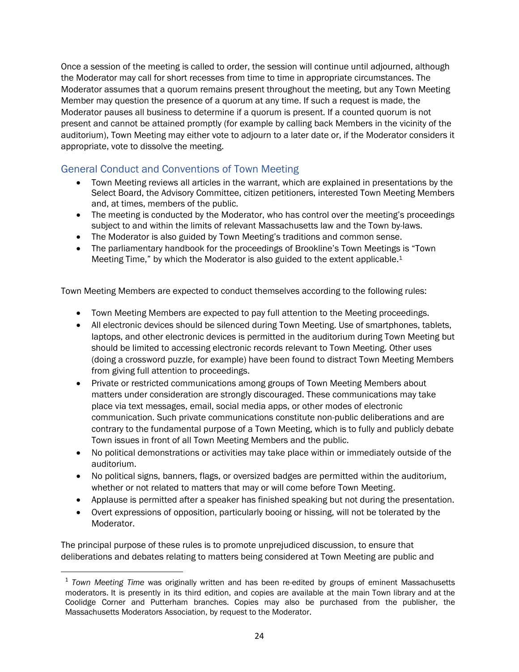Once a session of the meeting is called to order, the session will continue until adjourned, although the Moderator may call for short recesses from time to time in appropriate circumstances. The Moderator assumes that a quorum remains present throughout the meeting, but any Town Meeting Member may question the presence of a quorum at any time. If such a request is made, the Moderator pauses all business to determine if a quorum is present. If a counted quorum is not present and cannot be attained promptly (for example by calling back Members in the vicinity of the auditorium), Town Meeting may either vote to adjourn to a later date or, if the Moderator considers it appropriate, vote to dissolve the meeting.

#### <span id="page-28-0"></span>General Conduct and Conventions of Town Meeting

- Town Meeting reviews all articles in the warrant, which are explained in presentations by the Select Board, the Advisory Committee, citizen petitioners, interested Town Meeting Members and, at times, members of the public.
- The meeting is conducted by the Moderator, who has control over the meeting's proceedings subject to and within the limits of relevant Massachusetts law and the Town by-laws.
- The Moderator is also guided by Town Meeting's traditions and common sense.
- The parliamentary handbook for the proceedings of Brookline's Town Meetings is "Town Meeting Time," by which the Moderator is also guided to the extent applicable.<sup>1</sup>

Town Meeting Members are expected to conduct themselves according to the following rules:

- Town Meeting Members are expected to pay full attention to the Meeting proceedings.
- All electronic devices should be silenced during Town Meeting. Use of smartphones, tablets, laptops, and other electronic devices is permitted in the auditorium during Town Meeting but should be limited to accessing electronic records relevant to Town Meeting. Other uses (doing a crossword puzzle, for example) have been found to distract Town Meeting Members from giving full attention to proceedings.
- Private or restricted communications among groups of Town Meeting Members about matters under consideration are strongly discouraged. These communications may take place via text messages, email, social media apps, or other modes of electronic communication. Such private communications constitute non-public deliberations and are contrary to the fundamental purpose of a Town Meeting, which is to fully and publicly debate Town issues in front of all Town Meeting Members and the public.
- No political demonstrations or activities may take place within or immediately outside of the auditorium.
- No political signs, banners, flags, or oversized badges are permitted within the auditorium, whether or not related to matters that may or will come before Town Meeting.
- Applause is permitted after a speaker has finished speaking but not during the presentation.
- Overt expressions of opposition, particularly booing or hissing, will not be tolerated by the Moderator.

The principal purpose of these rules is to promote unprejudiced discussion, to ensure that deliberations and debates relating to matters being considered at Town Meeting are public and

<sup>1</sup> *Town Meeting Time* was originally written and has been re-edited by groups of eminent Massachusetts moderators. It is presently in its third edition, and copies are available at the main Town library and at the Coolidge Corner and Putterham branches. Copies may also be purchased from the publisher, the Massachusetts Moderators Association, by request to the Moderator.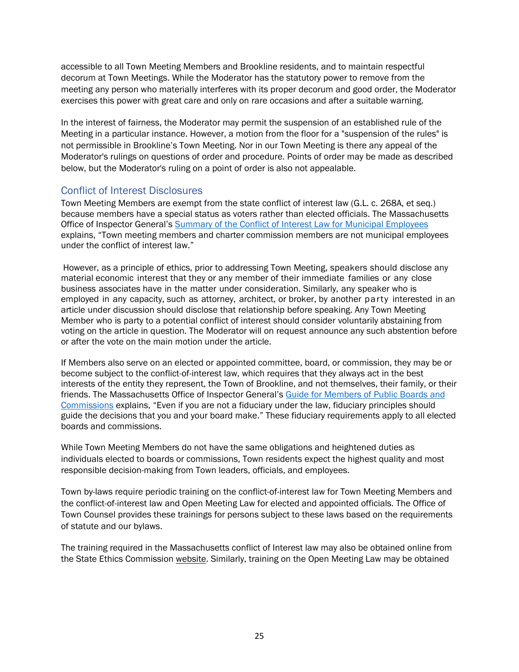accessible to all Town Meeting Members and Brookline residents, and to maintain respectful decorum at Town Meetings. While the Moderator has the statutory power to remove from the meeting any person who materially interferes with its proper decorum and good order, the Moderator exercises this power with great care and only on rare occasions and after a suitable warning.

In the interest of fairness, the Moderator may permit the suspension of an established rule of the Meeting in a particular instance. However, a motion from the floor for a "suspension of the rules" is not permissible in Brookline's Town Meeting. Nor in our Town Meeting is there any appeal of the Moderator's rulings on questions of order and procedure. Points of order may be made as described below, but the Moderator's ruling on a point of order is also not appealable.

#### <span id="page-29-0"></span>Conflict of Interest Disclosures

Town Meeting Members are exempt from the state conflict of interest law (G.L. c. 268A, et seq.) because members have a special status as voters rather than elected officials. The Massachusetts Office of Inspector General's [Summary of the Conflict of Interest Law for Municipal Employees](https://www.mass.gov/service-details/summary-of-the-conflict-of-interest-law-for-municipal-employees) explains, "Town meeting members and charter commission members are not municipal employees under the conflict of interest law."

However, as a principle of ethics, prior to addressing Town Meeting, speakers should disclose any material economic interest that they or any member of their immediate families or any close business associates have in the matter under consideration. Similarly, any speaker who is employed in any capacity, such as attorney, architect, or broker, by another party interested in an article under discussion should disclose that relationship before speaking. Any Town Meeting Member who is party to a potential conflict of interest should consider voluntarily abstaining from voting on the article in question. The Moderator will on request announce any such abstention before or after the vote on the main motion under the article.

If Members also serve on an elected or appointed committee, board, or commission, they may be or become subject to the conflict-of-interest law, which requires that they always act in the best interests of the entity they represent, the Town of Brookline, and not themselves, their family, or their friends. The Massachusetts Office of Inspector General's [Guide for Members of Public Boards and](https://www.mass.gov/files/documents/2017/11/30/OIG-Guide-for-Members-of-Public-Boards-and-Commissions-November-2017.pdf)  [Commissions](https://www.mass.gov/files/documents/2017/11/30/OIG-Guide-for-Members-of-Public-Boards-and-Commissions-November-2017.pdf) explains, "Even if you are not a fiduciary under the law, fiduciary principles should guide the decisions that you and your board make." These fiduciary requirements apply to all elected boards and commissions.

While Town Meeting Members do not have the same obligations and heightened duties as individuals elected to boards or commissions, Town residents expect the highest quality and most responsible decision-making from Town leaders, officials, and employees.

Town by-laws require periodic training on the conflict-of-interest law for Town Meeting Members and the conflict-of-interest law and Open Meeting Law for elected and appointed officials. The Office of Town Counsel provides these trainings for persons subject to these laws based on the requirements of statute and our bylaws.

The training required in the Massachusetts conflict of Interest law may also be obtained online from the State Ethics Commission [website.](https://www.mass.gov/how-to/complete-the-online-training-program-for-municipal-employees) Similarly, training on the Open Meeting Law may be obtained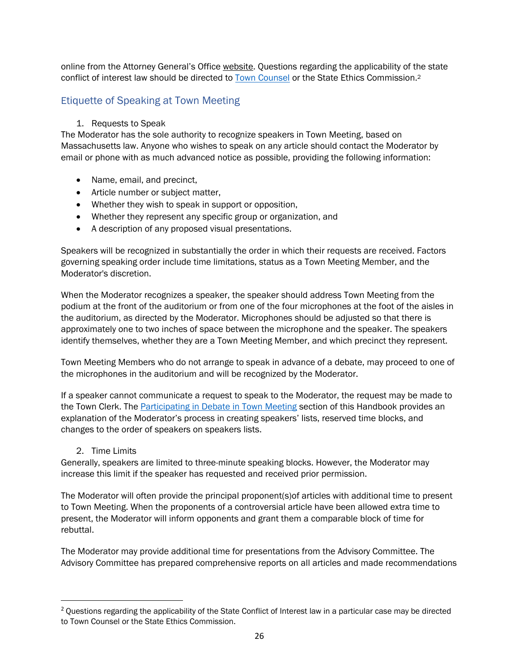online from the Attorney General's Office [website.](https://www.mass.gov/service-details/open-meeting-law-training-videos) Questions regarding the applicability of the state conflict of interest law should be directed to [Town Counsel](mailto:kfleming@brooklinema.gov?subject=Town%20Counsel%20Inquiry) or the State Ethics Commission.<sup>2</sup>

#### <span id="page-30-0"></span>Etiquette of Speaking at Town Meeting

#### 1. Requests to Speak

The Moderator has the sole authority to recognize speakers in Town Meeting, based on Massachusetts law. Anyone who wishes to speak on any article should contact the Moderator by email or phone with as much advanced notice as possible, providing the following information:

- Name, email, and precinct,
- Article number or subject matter,
- Whether they wish to speak in support or opposition,
- Whether they represent any specific group or organization, and
- A description of any proposed visual presentations.

Speakers will be recognized in substantially the order in which their requests are received. Factors governing speaking order include time limitations, status as a Town Meeting Member, and the Moderator's discretion.

When the Moderator recognizes a speaker, the speaker should address Town Meeting from the podium at the front of the auditorium or from one of the four microphones at the foot of the aisles in the auditorium, as directed by the Moderator. Microphones should be adjusted so that there is approximately one to two inches of space between the microphone and the speaker. The speakers identify themselves, whether they are a Town Meeting Member, and which precinct they represent.

Town Meeting Members who do not arrange to speak in advance of a debate, may proceed to one of the microphones in the auditorium and will be recognized by the Moderator.

If a speaker cannot communicate a request to speak to the Moderator, the request may be made to the Town Clerk. The [Participating in Debate in Town Meeting](#page-34-0) section of this Handbook provides an explanation of the Moderator's process in creating speakers' lists, reserved time blocks, and changes to the order of speakers on speakers lists.

#### 2. Time Limits

Generally, speakers are limited to three-minute speaking blocks. However, the Moderator may increase this limit if the speaker has requested and received prior permission.

The Moderator will often provide the principal proponent(s)of articles with additional time to present to Town Meeting. When the proponents of a controversial article have been allowed extra time to present, the Moderator will inform opponents and grant them a comparable block of time for rebuttal.

The Moderator may provide additional time for presentations from the Advisory Committee. The Advisory Committee has prepared comprehensive reports on all articles and made recommendations

<sup>&</sup>lt;sup>2</sup> Questions regarding the applicability of the State Conflict of Interest law in a particular case may be directed to Town Counsel or the State Ethics Commission.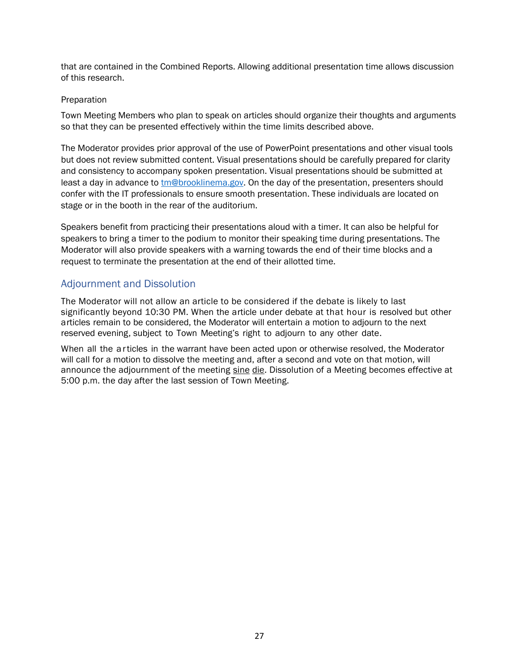that are contained in the Combined Reports. Allowing additional presentation time allows discussion of this research.

#### Preparation

Town Meeting Members who plan to speak on articles should organize their thoughts and arguments so that they can be presented effectively within the time limits described above.

The Moderator provides prior approval of the use of PowerPoint presentations and other visual tools but does not review submitted content. Visual presentations should be carefully prepared for clarity and consistency to accompany spoken presentation. Visual presentations should be submitted at least a day in advance to [tm@brooklinema.gov.](mailto:tm@brooklinema.gov) On the day of the presentation, presenters should confer with the IT professionals to ensure smooth presentation. These individuals are located on stage or in the booth in the rear of the auditorium.

Speakers benefit from practicing their presentations aloud with a timer. It can also be helpful for speakers to bring a timer to the podium to monitor their speaking time during presentations. The Moderator will also provide speakers with a warning towards the end of their time blocks and a request to terminate the presentation at the end of their allotted time.

#### <span id="page-31-0"></span>Adjournment and Dissolution

The Moderator will not allow an article to be considered if the debate is likely to last significantly beyond 10:30 PM. When the article under debate at that hour is resolved but other articles remain to be considered, the Moderator will entertain a motion to adjourn to the next reserved evening, subject to Town Meeting's right to adjourn to any other date.

When all the articles in the warrant have been acted upon or otherwise resolved, the Moderator will call for a motion to dissolve the meeting and, after a second and vote on that motion, will announce the adjournment of the meeting sine die. Dissolution of a Meeting becomes effective at 5:00 p.m. the day after the last session of Town Meeting.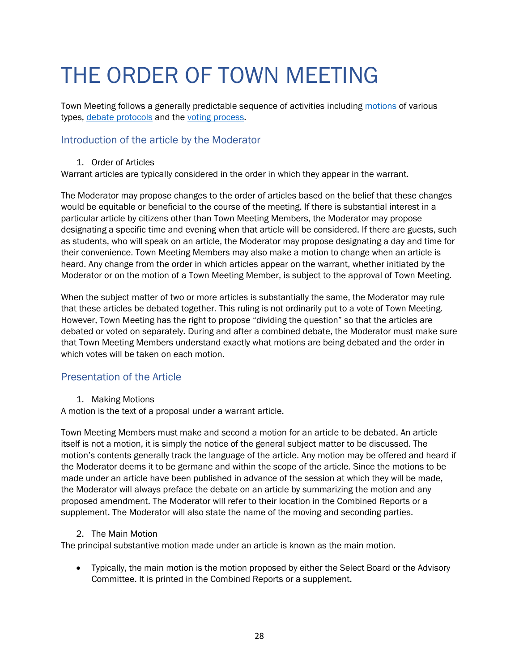## <span id="page-32-0"></span>THE ORDER OF TOWN MEETING

Town Meeting follows a generally predictable sequence of activities including [motions](#page-32-3) of various types, [debate protocols](#page-33-0) and the [voting process.](#page-39-3)

#### <span id="page-32-1"></span>Introduction of the article by the Moderator

1. Order of Articles

Warrant articles are typically considered in the order in which they appear in the warrant.

The Moderator may propose changes to the order of articles based on the belief that these changes would be equitable or beneficial to the course of the meeting. If there is substantial interest in a particular article by citizens other than Town Meeting Members, the Moderator may propose designating a specific time and evening when that article will be considered. If there are guests, such as students, who will speak on an article, the Moderator may propose designating a day and time for their convenience. Town Meeting Members may also make a motion to change when an article is heard. Any change from the order in which articles appear on the warrant, whether initiated by the Moderator or on the motion of a Town Meeting Member, is subject to the approval of Town Meeting.

When the subject matter of two or more articles is substantially the same, the Moderator may rule that these articles be debated together. This ruling is not ordinarily put to a vote of Town Meeting. However, Town Meeting has the right to propose "dividing the question" so that the articles are debated or voted on separately. During and after a combined debate, the Moderator must make sure that Town Meeting Members understand exactly what motions are being debated and the order in which votes will be taken on each motion.

#### <span id="page-32-2"></span>Presentation of the Article

<span id="page-32-3"></span>1. Making Motions

A motion is the text of a proposal under a warrant article.

Town Meeting Members must make and second a motion for an article to be debated. An article itself is not a motion, it is simply the notice of the general subject matter to be discussed. The motion's contents generally track the language of the article. Any motion may be offered and heard if the Moderator deems it to be germane and within the scope of the article. Since the motions to be made under an article have been published in advance of the session at which they will be made, the Moderator will always preface the debate on an article by summarizing the motion and any proposed amendment. The Moderator will refer to their location in the Combined Reports or a supplement. The Moderator will also state the name of the moving and seconding parties.

#### 2. The Main Motion

The principal substantive motion made under an article is known as the main motion.

• Typically, the main motion is the motion proposed by either the Select Board or the Advisory Committee. It is printed in the Combined Reports or a supplement.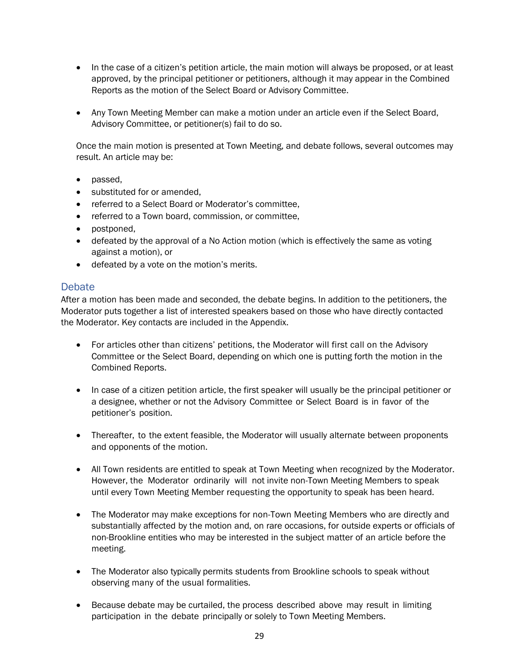- In the case of a citizen's petition article, the main motion will always be proposed, or at least approved, by the principal petitioner or petitioners, although it may appear in the Combined Reports as the motion of the Select Board or Advisory Committee.
- Any Town Meeting Member can make a motion under an article even if the Select Board, Advisory Committee, or petitioner(s) fail to do so.

Once the main motion is presented at Town Meeting, and debate follows, several outcomes may result. An article may be:

- passed,
- substituted for or amended,
- referred to a Select Board or Moderator's committee,
- referred to a Town board, commission, or committee,
- postponed,
- defeated by the approval of a No Action motion (which is effectively the same as voting against a motion), or
- defeated by a vote on the motion's merits.

#### <span id="page-33-0"></span>**Debate**

After a motion has been made and seconded, the debate begins. In addition to the petitioners, the Moderator puts together a list of interested speakers based on those who have directly contacted the Moderator. Key contacts are included in the Appendix.

- For articles other than citizens' petitions, the Moderator will first call on the Advisory Committee or the Select Board, depending on which one is putting forth the motion in the Combined Reports.
- In case of a citizen petition article, the first speaker will usually be the principal petitioner or a designee, whether or not the Advisory Committee or Select Board is in favor of the petitioner's position.
- Thereafter, to the extent feasible, the Moderator will usually alternate between proponents and opponents of the motion.
- All Town residents are entitled to speak at Town Meeting when recognized by the Moderator. However, the Moderator ordinarily will not invite non-Town Meeting Members to speak until every Town Meeting Member requesting the opportunity to speak has been heard.
- The Moderator may make exceptions for non-Town Meeting Members who are directly and substantially affected by the motion and, on rare occasions, for outside experts or officials of non-Brookline entities who may be interested in the subject matter of an article before the meeting.
- The Moderator also typically permits students from Brookline schools to speak without observing many of the usual formalities.
- Because debate may be curtailed, the process described above may result in limiting participation in the debate principally or solely to Town Meeting Members.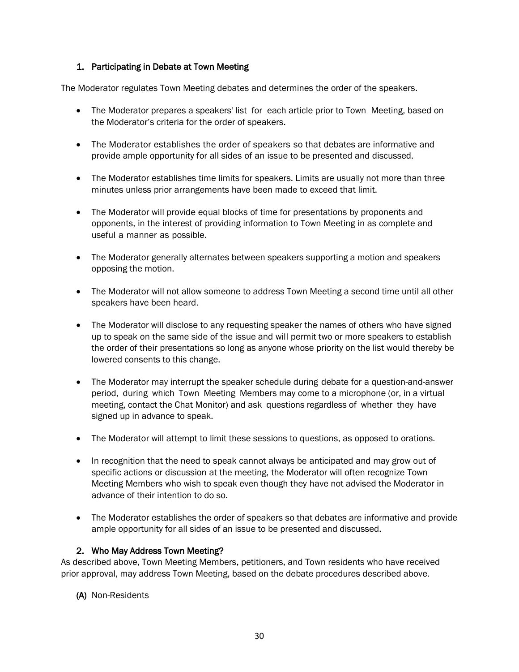#### <span id="page-34-0"></span>1. Participating in Debate at Town Meeting

The Moderator regulates Town Meeting debates and determines the order of the speakers.

- The Moderator prepares a speakers' list for each article prior to Town Meeting, based on the Moderator's criteria for the order of speakers.
- The Moderator establishes the order of speakers so that debates are informative and provide ample opportunity for all sides of an issue to be presented and discussed.
- The Moderator establishes time limits for speakers. Limits are usually not more than three minutes unless prior arrangements have been made to exceed that limit.
- The Moderator will provide equal blocks of time for presentations by proponents and opponents, in the interest of providing information to Town Meeting in as complete and useful a manner as possible.
- The Moderator generally alternates between speakers supporting a motion and speakers opposing the motion.
- The Moderator will not allow someone to address Town Meeting a second time until all other speakers have been heard.
- The Moderator will disclose to any requesting speaker the names of others who have signed up to speak on the same side of the issue and will permit two or more speakers to establish the order of their presentations so long as anyone whose priority on the list would thereby be lowered consents to this change.
- The Moderator may interrupt the speaker schedule during debate for a question-and-answer period, during which Town Meeting Members may come to a microphone (or, in a virtual meeting, contact the Chat Monitor) and ask questions regardless of whether they have signed up in advance to speak.
- The Moderator will attempt to limit these sessions to questions, as opposed to orations.
- In recognition that the need to speak cannot always be anticipated and may grow out of specific actions or discussion at the meeting, the Moderator will often recognize Town Meeting Members who wish to speak even though they have not advised the Moderator in advance of their intention to do so.
- The Moderator establishes the order of speakers so that debates are informative and provide ample opportunity for all sides of an issue to be presented and discussed.

#### 2. Who May Address Town Meeting?

As described above, Town Meeting Members, petitioners, and Town residents who have received prior approval, may address Town Meeting, based on the debate procedures described above.

#### (A) Non-Residents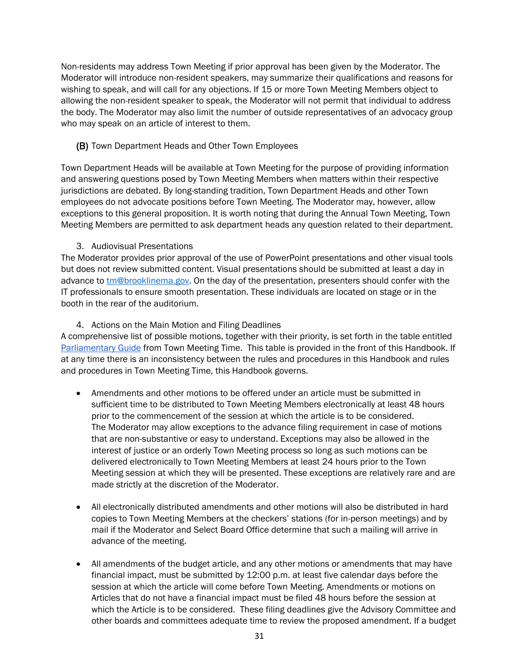Non-residents may address Town Meeting if prior approval has been given by the Moderator. The Moderator will introduce non-resident speakers, may summarize their qualifications and reasons for wishing to speak, and will call for any objections. If 15 or more Town Meeting Members object to allowing the non-resident speaker to speak, the Moderator will not permit that individual to address the body. The Moderator may also limit the number of outside representatives of an advocacy group who may speak on an article of interest to them.

#### (B) Town Department Heads and Other Town Employees

Town Department Heads will be available at Town Meeting for the purpose of providing information and answering questions posed by Town Meeting Members when matters within their respective jurisdictions are debated. By long-standing tradition, Town Department Heads and other Town employees do not advocate positions before Town Meeting. The Moderator may, however, allow exceptions to this general proposition. It is worth noting that during the Annual Town Meeting, Town Meeting Members are permitted to ask department heads any question related to their department.

#### 3. Audiovisual Presentations

The Moderator provides prior approval of the use of PowerPoint presentations and other visual tools but does not review submitted content. Visual presentations should be submitted at least a day in advance to [tm@brooklinema.gov.](mailto:tm@brooklinema.gov) On the day of the presentation, presenters should confer with the IT professionals to ensure smooth presentation. These individuals are located on stage or in the booth in the rear of the auditorium.

#### 4. Actions on the Main Motion and Filing Deadlines

A comprehensive list of possible motions, together with their priority, is set forth in the table entitled [Parliamentary Guide](#page-1-0) from Town Meeting Time. This table is provided in the front of this Handbook. If at any time there is an inconsistency between the rules and procedures in this Handbook and rules and procedures in Town Meeting Time, this Handbook governs.

- Amendments and other motions to be offered under an article must be submitted in sufficient time to be distributed to Town Meeting Members electronically at least 48 hours prior to the commencement of the session at which the article is to be considered. The Moderator may allow exceptions to the advance filing requirement in case of motions that are non-substantive or easy to understand. Exceptions may also be allowed in the interest of justice or an orderly Town Meeting process so long as such motions can be delivered electronically to Town Meeting Members at least 24 hours prior to the Town Meeting session at which they will be presented. These exceptions are relatively rare and are made strictly at the discretion of the Moderator.
- All electronically distributed amendments and other motions will also be distributed in hard copies to Town Meeting Members at the checkers' stations (for in-person meetings) and by mail if the Moderator and Select Board Office determine that such a mailing will arrive in advance of the meeting.
- All amendments of the budget article, and any other motions or amendments that may have financial impact, must be submitted by 12:00 p.m. at least five calendar days before the session at which the article will come before Town Meeting. Amendments or motions on Articles that do not have a financial impact must be filed 48 hours before the session at which the Article is to be considered. These filing deadlines give the Advisory Committee and other boards and committees adequate time to review the proposed amendment. If a budget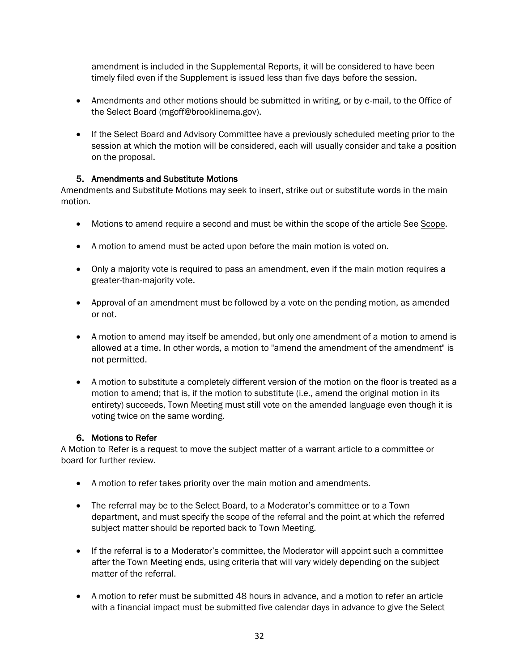amendment is included in the Supplemental Reports, it will be considered to have been timely filed even if the Supplement is issued less than five days before the session.

- Amendments and other motions should be submitted in writing, or by e-mail, to the Office of the Select Board (mgoff@brooklinema.gov).
- If the Select Board and Advisory Committee have a previously scheduled meeting prior to the session at which the motion will be considered, each will usually consider and take a position on the proposal.

#### 5. Amendments and Substitute Motions

Amendments and Substitute Motions may seek to insert, strike out or substitute words in the main motion.

- Motions to amend require a second and must be within the scope of the article See [Scope.](#page-24-0)
- A motion to amend must be acted upon before the main motion is voted on.
- Only a majority vote is required to pass an amendment, even if the main motion requires a greater-than-majority vote.
- Approval of an amendment must be followed by a vote on the pending motion, as amended or not.
- A motion to amend may itself be amended, but only one amendment of a motion to amend is allowed at a time. In other words, a motion to "amend the amendment of the amendment" is not permitted.
- A motion to substitute a completely different version of the motion on the floor is treated as a motion to amend; that is, if the motion to substitute (i.e., amend the original motion in its entirety) succeeds, Town Meeting must still vote on the amended language even though it is voting twice on the same wording.

#### 6. Motions to Refer

A Motion to Refer is a request to move the subject matter of a warrant article to a committee or board for further review.

- A motion to refer takes priority over the main motion and amendments.
- The referral may be to the Select Board, to a Moderator's committee or to a Town department, and must specify the scope of the referral and the point at which the referred subject matter should be reported back to Town Meeting.
- If the referral is to a Moderator's committee, the Moderator will appoint such a committee after the Town Meeting ends, using criteria that will vary widely depending on the subject matter of the referral.
- A motion to refer must be submitted 48 hours in advance, and a motion to refer an article with a financial impact must be submitted five calendar days in advance to give the Select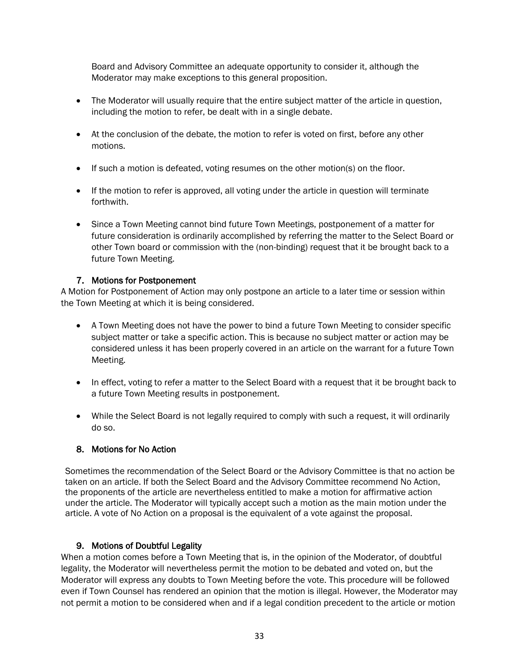Board and Advisory Committee an adequate opportunity to consider it, although the Moderator may make exceptions to this general proposition.

- The Moderator will usually require that the entire subject matter of the article in question, including the motion to refer, be dealt with in a single debate.
- At the conclusion of the debate, the motion to refer is voted on first, before any other motions.
- If such a motion is defeated, voting resumes on the other motion(s) on the floor.
- If the motion to refer is approved, all voting under the article in question will terminate forthwith.
- Since a Town Meeting cannot bind future Town Meetings, postponement of a matter for future consideration is ordinarily accomplished by referring the matter to the Select Board or other Town board or commission with the (non-binding) request that it be brought back to a future Town Meeting.

#### 7. Motions for Postponement

A Motion for Postponement of Action may only postpone an article to a later time or session within the Town Meeting at which it is being considered.

- A Town Meeting does not have the power to bind a future Town Meeting to consider specific subject matter or take a specific action. This is because no subject matter or action may be considered unless it has been properly covered in an article on the warrant for a future Town Meeting.
- In effect, voting to refer a matter to the Select Board with a request that it be brought back to a future Town Meeting results in postponement.
- While the Select Board is not legally required to comply with such a request, it will ordinarily do so.

#### 8. Motions for No Action

Sometimes the recommendation of the Select Board or the Advisory Committee is that no action be taken on an article. If both the Select Board and the Advisory Committee recommend No Action, the proponents of the article are nevertheless entitled to make a motion for affirmative action under the article. The Moderator will typically accept such a motion as the main motion under the article. A vote of No Action on a proposal is the equivalent of a vote against the proposal.

#### 9. Motions of Doubtful Legality

When a motion comes before a Town Meeting that is, in the opinion of the Moderator, of doubtful legality, the Moderator will nevertheless permit the motion to be debated and voted on, but the Moderator will express any doubts to Town Meeting before the vote. This procedure will be followed even if Town Counsel has rendered an opinion that the motion is illegal. However, the Moderator may not permit a motion to be considered when and if a legal condition precedent to the article or motion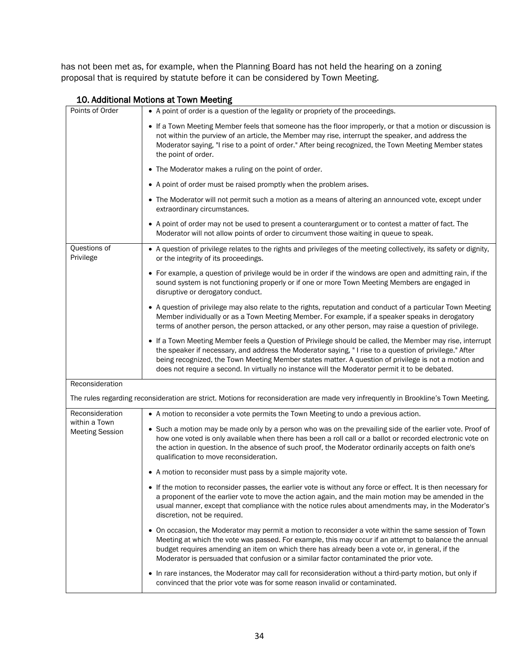has not been met as, for example, when the Planning Board has not held the hearing on a zoning proposal that is required by statute before it can be considered by Town Meeting.

| 10. Additional Motions at Town Meeting |  |  |  |
|----------------------------------------|--|--|--|
|----------------------------------------|--|--|--|

| Points of Order                  | • A point of order is a question of the legality or propriety of the proceedings.                                                                                                                                                                                                                                                                                                                                              |
|----------------------------------|--------------------------------------------------------------------------------------------------------------------------------------------------------------------------------------------------------------------------------------------------------------------------------------------------------------------------------------------------------------------------------------------------------------------------------|
|                                  | If a Town Meeting Member feels that someone has the floor improperly, or that a motion or discussion is<br>not within the purview of an article, the Member may rise, interrupt the speaker, and address the<br>Moderator saying, "I rise to a point of order." After being recognized, the Town Meeting Member states<br>the point of order.                                                                                  |
|                                  | • The Moderator makes a ruling on the point of order.                                                                                                                                                                                                                                                                                                                                                                          |
|                                  | • A point of order must be raised promptly when the problem arises.                                                                                                                                                                                                                                                                                                                                                            |
|                                  | • The Moderator will not permit such a motion as a means of altering an announced vote, except under<br>extraordinary circumstances.                                                                                                                                                                                                                                                                                           |
|                                  | • A point of order may not be used to present a counterargument or to contest a matter of fact. The<br>Moderator will not allow points of order to circumvent those waiting in queue to speak.                                                                                                                                                                                                                                 |
| Questions of<br>Privilege        | • A question of privilege relates to the rights and privileges of the meeting collectively, its safety or dignity,<br>or the integrity of its proceedings.                                                                                                                                                                                                                                                                     |
|                                  | • For example, a question of privilege would be in order if the windows are open and admitting rain, if the<br>sound system is not functioning properly or if one or more Town Meeting Members are engaged in<br>disruptive or derogatory conduct.                                                                                                                                                                             |
|                                  | • A question of privilege may also relate to the rights, reputation and conduct of a particular Town Meeting<br>Member individually or as a Town Meeting Member. For example, if a speaker speaks in derogatory<br>terms of another person, the person attacked, or any other person, may raise a question of privilege.                                                                                                       |
|                                  | • If a Town Meeting Member feels a Question of Privilege should be called, the Member may rise, interrupt<br>the speaker if necessary, and address the Moderator saying, "I rise to a question of privilege." After<br>being recognized, the Town Meeting Member states matter. A question of privilege is not a motion and<br>does not require a second. In virtually no instance will the Moderator permit it to be debated. |
| Reconsideration                  |                                                                                                                                                                                                                                                                                                                                                                                                                                |
|                                  | The rules regarding reconsideration are strict. Motions for reconsideration are made very infrequently in Brookline's Town Meeting.                                                                                                                                                                                                                                                                                            |
| Reconsideration<br>within a Town | • A motion to reconsider a vote permits the Town Meeting to undo a previous action.                                                                                                                                                                                                                                                                                                                                            |
| <b>Meeting Session</b>           | • Such a motion may be made only by a person who was on the prevailing side of the earlier vote. Proof of<br>how one voted is only available when there has been a roll call or a ballot or recorded electronic vote on<br>the action in question. In the absence of such proof, the Moderator ordinarily accepts on faith one's<br>qualification to move reconsideration.                                                     |
|                                  | • A motion to reconsider must pass by a simple majority vote.                                                                                                                                                                                                                                                                                                                                                                  |
|                                  | • If the motion to reconsider passes, the earlier vote is without any force or effect. It is then necessary for<br>a proponent of the earlier vote to move the action again, and the main motion may be amended in the<br>usual manner, except that compliance with the notice rules about amendments may, in the Moderator's<br>discretion, not be required.                                                                  |
|                                  | • On occasion, the Moderator may permit a motion to reconsider a vote within the same session of Town<br>Meeting at which the vote was passed. For example, this may occur if an attempt to balance the annual<br>budget requires amending an item on which there has already been a vote or, in general, if the<br>Moderator is persuaded that confusion or a similar factor contaminated the prior vote.                     |
|                                  | In rare instances, the Moderator may call for reconsideration without a third-party motion, but only if<br>٠<br>convinced that the prior vote was for some reason invalid or contaminated.                                                                                                                                                                                                                                     |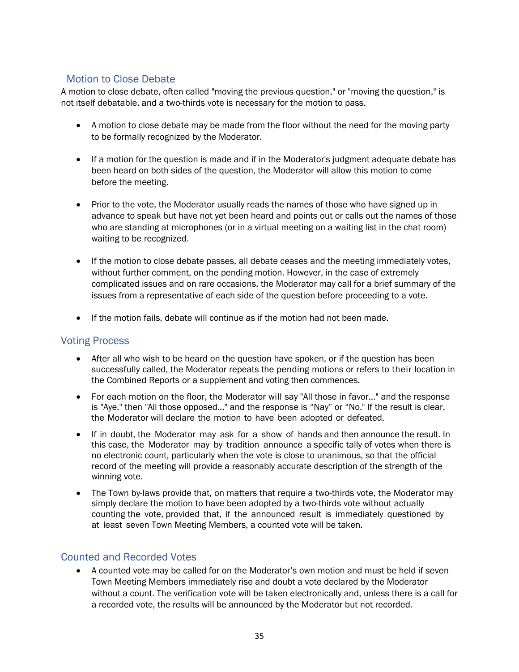#### <span id="page-39-0"></span>Motion to Close Debate

A motion to close debate, often called "moving the previous question," or "moving the question," is not itself debatable, and a two-thirds vote is necessary for the motion to pass.

- A motion to close debate may be made from the floor without the need for the moving party to be formally recognized by the Moderator.
- If a motion for the question is made and if in the Moderator's judgment adequate debate has been heard on both sides of the question, the Moderator will allow this motion to come before the meeting.
- Prior to the vote, the Moderator usually reads the names of those who have signed up in advance to speak but have not yet been heard and points out or calls out the names of those who are standing at microphones (or in a virtual meeting on a waiting list in the chat room) waiting to be recognized.
- If the motion to close debate passes, all debate ceases and the meeting immediately votes, without further comment, on the pending motion. However, in the case of extremely complicated issues and on rare occasions, the Moderator may call for a brief summary of the issues from a representative of each side of the question before proceeding to a vote.
- <span id="page-39-3"></span>• If the motion fails, debate will continue as if the motion had not been made.

#### <span id="page-39-1"></span>Voting Process

- After all who wish to be heard on the question have spoken, or if the question has been successfully called, the Moderator repeats the pending motions or refers to their location in the Combined Reports or a supplement and voting then commences.
- For each motion on the floor, the Moderator will say "All those in favor..." and the response is "Aye," then "All those opposed..." and the response is "Nay" or "No." If the result is clear, the Moderator will declare the motion to have been adopted or defeated.
- If in doubt, the Moderator may ask for a show of hands and then announce the result. In this case, the Moderator may by tradition announce a specific tally of votes when there is no electronic count, particularly when the vote is close to unanimous, so that the official record of the meeting will provide a reasonably accurate description of the strength of the winning vote.
- The Town by-laws provide that, on matters that require a two-thirds vote, the Moderator may simply declare the motion to have been adopted by a two-thirds vote without actually counting the vote, provided that, if the announced result is immediately questioned by at least seven Town Meeting Members, a counted vote will be taken.

#### <span id="page-39-2"></span>Counted and Recorded Votes

• A counted vote may be called for on the Moderator's own motion and must be held if seven Town Meeting Members immediately rise and doubt a vote declared by the Moderator without a count. The verification vote will be taken electronically and, unless there is a call for a recorded vote, the results will be announced by the Moderator but not recorded.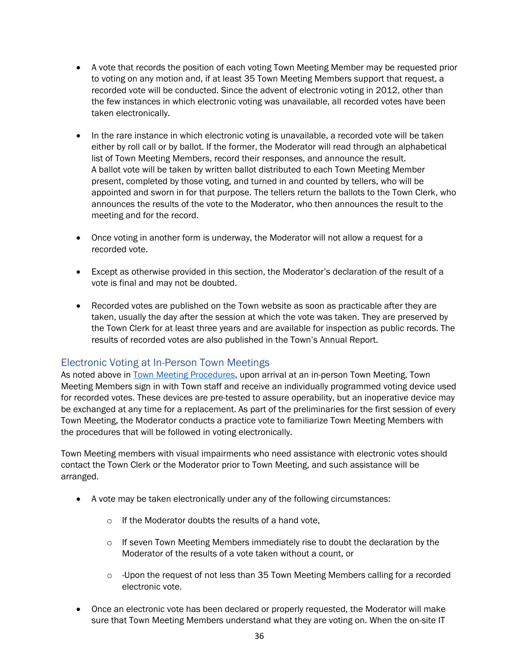- A vote that records the position of each voting Town Meeting Member may be requested prior to voting on any motion and, if at least 35 Town Meeting Members support that request, a recorded vote will be conducted. Since the advent of electronic voting in 2012, other than the few instances in which electronic voting was unavailable, all recorded votes have been taken electronically.
- In the rare instance in which electronic voting is unavailable, a recorded vote will be taken either by roll call or by ballot. If the former, the Moderator will read through an alphabetical list of Town Meeting Members, record their responses, and announce the result. A ballot vote will be taken by written ballot distributed to each Town Meeting Member present, completed by those voting, and turned in and counted by tellers, who will be appointed and sworn in for that purpose. The tellers return the ballots to the Town Clerk, who announces the results of the vote to the Moderator, who then announces the result to the meeting and for the record.
- Once voting in another form is underway, the Moderator will not allow a request for a recorded vote.
- Except as otherwise provided in this section, the Moderator's declaration of the result of a vote is final and may not be doubted.
- Recorded votes are published on the Town website as soon as practicable after they are taken, usually the day after the session at which the vote was taken. They are preserved by the Town Clerk for at least three years and are available for inspection as public records. The results of recorded votes are also published in the Town's Annual Report.

#### <span id="page-40-0"></span>Electronic Voting at In-Person Town Meetings

As noted above in [Town Meeting Procedures,](#page-27-0) upon arrival at an in-person Town Meeting, Town Meeting Members sign in with Town staff and receive an individually programmed voting device used for recorded votes. These devices are pre-tested to assure operability, but an inoperative device may be exchanged at any time for a replacement. As part of the preliminaries for the first session of every Town Meeting, the Moderator conducts a practice vote to familiarize Town Meeting Members with the procedures that will be followed in voting electronically.

Town Meeting members with visual impairments who need assistance with electronic votes should contact the Town Clerk or the Moderator prior to Town Meeting, and such assistance will be arranged.

- A vote may be taken electronically under any of the following circumstances:
	- o If the Moderator doubts the results of a hand vote,
	- $\circ$  If seven Town Meeting Members immediately rise to doubt the declaration by the Moderator of the results of a vote taken without a count, or
	- $\circ$  -Upon the request of not less than 35 Town Meeting Members calling for a recorded electronic vote.
- Once an electronic vote has been declared or properly requested, the Moderator will make sure that Town Meeting Members understand what they are voting on. When the on-site IT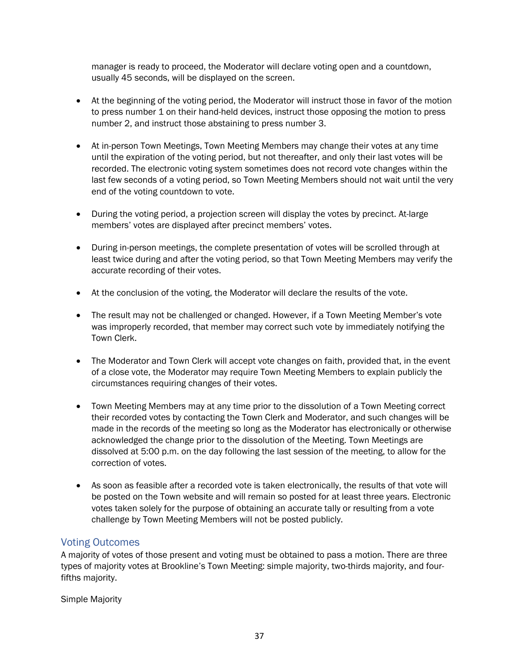manager is ready to proceed, the Moderator will declare voting open and a countdown, usually 45 seconds, will be displayed on the screen.

- At the beginning of the voting period, the Moderator will instruct those in favor of the motion to press number 1 on their hand-held devices, instruct those opposing the motion to press number 2, and instruct those abstaining to press number 3.
- At in-person Town Meetings, Town Meeting Members may change their votes at any time until the expiration of the voting period, but not thereafter, and only their last votes will be recorded. The electronic voting system sometimes does not record vote changes within the last few seconds of a voting period, so Town Meeting Members should not wait until the very end of the voting countdown to vote.
- During the voting period, a projection screen will display the votes by precinct. At-large members' votes are displayed after precinct members' votes.
- During in-person meetings, the complete presentation of votes will be scrolled through at least twice during and after the voting period, so that Town Meeting Members may verify the accurate recording of their votes.
- At the conclusion of the voting, the Moderator will declare the results of the vote.
- The result may not be challenged or changed. However, if a Town Meeting Member's vote was improperly recorded, that member may correct such vote by immediately notifying the Town Clerk.
- The Moderator and Town Clerk will accept vote changes on faith, provided that, in the event of a close vote, the Moderator may require Town Meeting Members to explain publicly the circumstances requiring changes of their votes.
- Town Meeting Members may at any time prior to the dissolution of a Town Meeting correct their recorded votes by contacting the Town Clerk and Moderator, and such changes will be made in the records of the meeting so long as the Moderator has electronically or otherwise acknowledged the change prior to the dissolution of the Meeting. Town Meetings are dissolved at 5:00 p.m. on the day following the last session of the meeting, to allow for the correction of votes.
- As soon as feasible after a recorded vote is taken electronically, the results of that vote will be posted on the Town website and will remain so posted for at least three years. Electronic votes taken solely for the purpose of obtaining an accurate tally or resulting from a vote challenge by Town Meeting Members will not be posted publicly.

#### <span id="page-41-0"></span>Voting Outcomes

A majority of votes of those present and voting must be obtained to pass a motion. There are three types of majority votes at Brookline's Town Meeting: simple majority, two-thirds majority, and fourfifths majority.

Simple Majority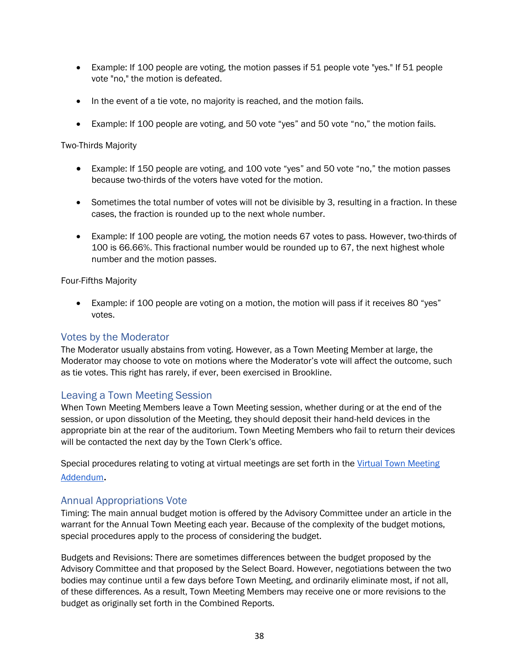- Example: If 100 people are voting, the motion passes if 51 people vote "yes." If 51 people vote "no," the motion is defeated.
- In the event of a tie vote, no majority is reached, and the motion fails.
- Example: If 100 people are voting, and 50 vote "yes" and 50 vote "no," the motion fails.

#### Two-Thirds Majority

- Example: If 150 people are voting, and 100 vote "yes" and 50 vote "no," the motion passes because two-thirds of the voters have voted for the motion.
- Sometimes the total number of votes will not be divisible by 3, resulting in a fraction. In these cases, the fraction is rounded up to the next whole number.
- Example: If 100 people are voting, the motion needs 67 votes to pass. However, two-thirds of 100 is 66.66%. This fractional number would be rounded up to 67, the next highest whole number and the motion passes.

#### Four-Fifths Majority

• Example: if 100 people are voting on a motion, the motion will pass if it receives 80 "yes" votes.

#### <span id="page-42-0"></span>Votes by the Moderator

The Moderator usually abstains from voting. However, as a Town Meeting Member at large, the Moderator may choose to vote on motions where the Moderator's vote will affect the outcome, such as tie votes. This right has rarely, if ever, been exercised in Brookline.

#### <span id="page-42-1"></span>Leaving a Town Meeting Session

When Town Meeting Members leave a Town Meeting session, whether during or at the end of the session, or upon dissolution of the Meeting, they should deposit their hand-held devices in the appropriate bin at the rear of the auditorium. Town Meeting Members who fail to return their devices will be contacted the next day by the Town Clerk's office.

Special procedures relating to voting at virtual meetings are set forth in the [Virtual Town Meeting](#page-54-0)  [Addendum](#page-54-0).

#### <span id="page-42-2"></span>Annual Appropriations Vote

Timing: The main annual budget motion is offered by the Advisory Committee under an article in the warrant for the Annual Town Meeting each year. Because of the complexity of the budget motions, special procedures apply to the process of considering the budget.

Budgets and Revisions: There are sometimes differences between the budget proposed by the Advisory Committee and that proposed by the Select Board. However, negotiations between the two bodies may continue until a few days before Town Meeting, and ordinarily eliminate most, if not all, of these differences. As a result, Town Meeting Members may receive one or more revisions to the budget as originally set forth in the Combined Reports.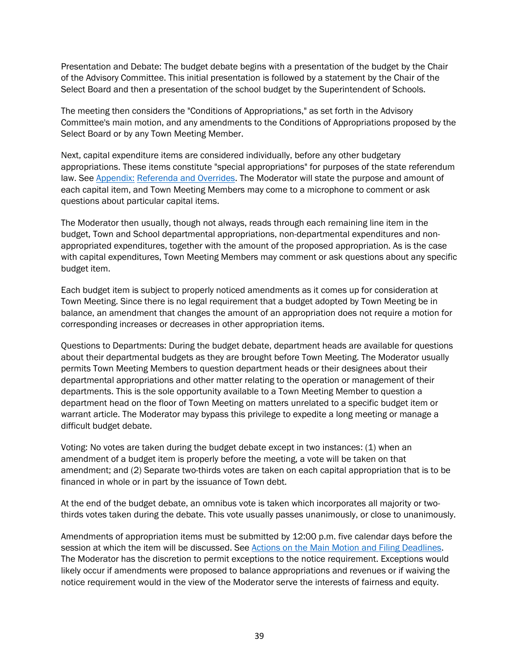Presentation and Debate: The budget debate begins with a presentation of the budget by the Chair of the Advisory Committee. This initial presentation is followed by a statement by the Chair of the Select Board and then a presentation of the school budget by the Superintendent of Schools.

The meeting then considers the "Conditions of Appropriations," as set forth in the Advisory Committee's main motion, and any amendments to the Conditions of Appropriations proposed by the Select Board or by any Town Meeting Member.

Next, capital expenditure items are considered individually, before any other budgetary appropriations. These items constitute "special appropriations" for purposes of the state referendum law. See [Appendix:](#page-48-1) Referenda and Overrides. The Moderator will state the purpose and amount of each capital item, and Town Meeting Members may come to a microphone to comment or ask questions about particular capital items.

The Moderator then usually, though not always, reads through each remaining line item in the budget, Town and School departmental appropriations, non-departmental expenditures and nonappropriated expenditures, together with the amount of the proposed appropriation. As is the case with capital expenditures, Town Meeting Members may comment or ask questions about any specific budget item.

Each budget item is subject to properly noticed amendments as it comes up for consideration at Town Meeting. Since there is no legal requirement that a budget adopted by Town Meeting be in balance, an amendment that changes the amount of an appropriation does not require a motion for corresponding increases or decreases in other appropriation items.

Questions to Departments: During the budget debate, department heads are available for questions about their departmental budgets as they are brought before Town Meeting. The Moderator usually permits Town Meeting Members to question department heads or their designees about their departmental appropriations and other matter relating to the operation or management of their departments. This is the sole opportunity available to a Town Meeting Member to question a department head on the floor of Town Meeting on matters unrelated to a specific budget item or warrant article. The Moderator may bypass this privilege to expedite a long meeting or manage a difficult budget debate.

Voting: No votes are taken during the budget debate except in two instances: (1) when an amendment of a budget item is properly before the meeting, a vote will be taken on that amendment; and (2) Separate two-thirds votes are taken on each capital appropriation that is to be financed in whole or in part by the issuance of Town debt.

At the end of the budget debate, an omnibus vote is taken which incorporates all majority or twothirds votes taken during the debate. This vote usually passes unanimously, or close to unanimously.

Amendments of appropriation items must be submitted by 12:00 p.m. five calendar days before the session at which the item will be discussed. See Actions on the Main Motion and Filing Deadlines. The Moderator has the discretion to permit exceptions to the notice requirement. Exceptions would likely occur if amendments were proposed to balance appropriations and revenues or if waiving the notice requirement would in the view of the Moderator serve the interests of fairness and equity.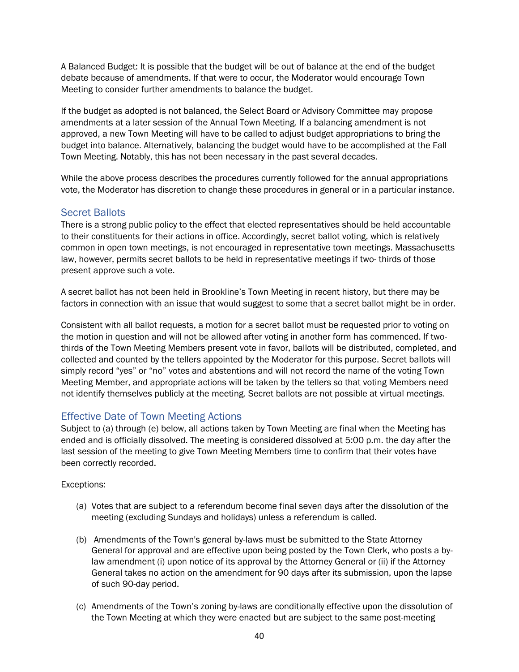A Balanced Budget: It is possible that the budget will be out of balance at the end of the budget debate because of amendments. If that were to occur, the Moderator would encourage Town Meeting to consider further amendments to balance the budget.

If the budget as adopted is not balanced, the Select Board or Advisory Committee may propose amendments at a later session of the Annual Town Meeting. If a balancing amendment is not approved, a new Town Meeting will have to be called to adjust budget appropriations to bring the budget into balance. Alternatively, balancing the budget would have to be accomplished at the Fall Town Meeting. Notably, this has not been necessary in the past several decades.

While the above process describes the procedures currently followed for the annual appropriations vote, the Moderator has discretion to change these procedures in general or in a particular instance.

#### <span id="page-44-0"></span>Secret Ballots

There is a strong public policy to the effect that elected representatives should be held accountable to their constituents for their actions in office. Accordingly, secret ballot voting, which is relatively common in open town meetings, is not encouraged in representative town meetings. Massachusetts law, however, permits secret ballots to be held in representative meetings if two- thirds of those present approve such a vote.

A secret ballot has not been held in Brookline's Town Meeting in recent history, but there may be factors in connection with an issue that would suggest to some that a secret ballot might be in order.

Consistent with all ballot requests, a motion for a secret ballot must be requested prior to voting on the motion in question and will not be allowed after voting in another form has commenced. If twothirds of the Town Meeting Members present vote in favor, ballots will be distributed, completed, and collected and counted by the tellers appointed by the Moderator for this purpose. Secret ballots will simply record "yes" or "no" votes and abstentions and will not record the name of the voting Town Meeting Member, and appropriate actions will be taken by the tellers so that voting Members need not identify themselves publicly at the meeting. Secret ballots are not possible at virtual meetings.

#### <span id="page-44-1"></span>Effective Date of Town Meeting Actions

Subject to (a) through (e) below, all actions taken by Town Meeting are final when the Meeting has ended and is officially dissolved. The meeting is considered dissolved at 5:00 p.m. the day after the last session of the meeting to give Town Meeting Members time to confirm that their votes have been correctly recorded.

#### Exceptions:

- (a) Votes that are subject to a referendum become final seven days after the dissolution of the meeting (excluding Sundays and holidays) unless a referendum is called.
- (b) Amendments of the Town's general by-laws must be submitted to the State Attorney General for approval and are effective upon being posted by the Town Clerk, who posts a bylaw amendment (i) upon notice of its approval by the Attorney General or (ii) if the Attorney General takes no action on the amendment for 90 days after its submission, upon the lapse of such 90-day period.
- (c) Amendments of the Town's zoning by-laws are conditionally effective upon the dissolution of the Town Meeting at which they were enacted but are subject to the same post-meeting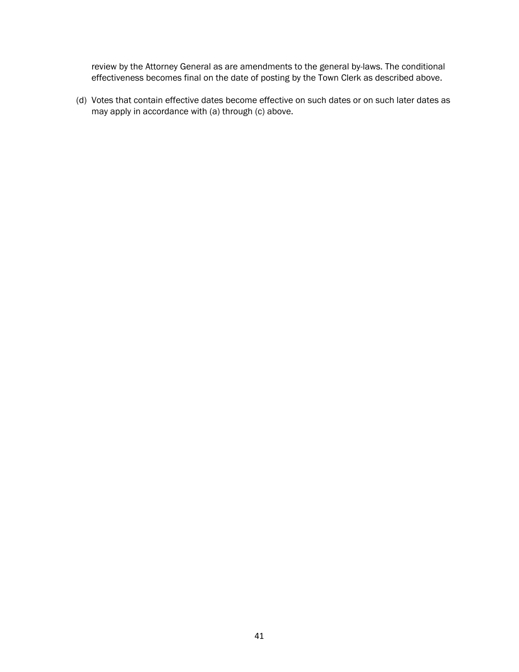review by the Attorney General as are amendments to the general by-laws. The conditional effectiveness becomes final on the date of posting by the Town Clerk as described above.

(d) Votes that contain effective dates become effective on such dates or on such later dates as may apply in accordance with (a) through (c) above.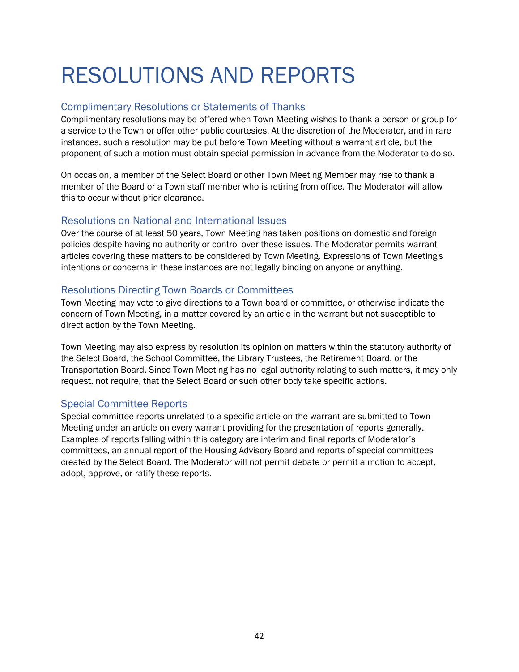### <span id="page-46-0"></span>RESOLUTIONS AND REPORTS

#### <span id="page-46-1"></span>Complimentary Resolutions or Statements of Thanks

Complimentary resolutions may be offered when Town Meeting wishes to thank a person or group for a service to the Town or offer other public courtesies. At the discretion of the Moderator, and in rare instances, such a resolution may be put before Town Meeting without a warrant article, but the proponent of such a motion must obtain special permission in advance from the Moderator to do so.

On occasion, a member of the Select Board or other Town Meeting Member may rise to thank a member of the Board or a Town staff member who is retiring from office. The Moderator will allow this to occur without prior clearance.

#### <span id="page-46-2"></span>Resolutions on National and International Issues

Over the course of at least 50 years, Town Meeting has taken positions on domestic and foreign policies despite having no authority or control over these issues. The Moderator permits warrant articles covering these matters to be considered by Town Meeting. Expressions of Town Meeting's intentions or concerns in these instances are not legally binding on anyone or anything.

#### <span id="page-46-3"></span>Resolutions Directing Town Boards or Committees

Town Meeting may vote to give directions to a Town board or committee, or otherwise indicate the concern of Town Meeting, in a matter covered by an article in the warrant but not susceptible to direct action by the Town Meeting.

Town Meeting may also express by resolution its opinion on matters within the statutory authority of the Select Board, the School Committee, the Library Trustees, the Retirement Board, or the Transportation Board. Since Town Meeting has no legal authority relating to such matters, it may only request, not require, that the Select Board or such other body take specific actions.

#### <span id="page-46-4"></span>Special Committee Reports

Special committee reports unrelated to a specific article on the warrant are submitted to Town Meeting under an article on every warrant providing for the presentation of reports generally. Examples of reports falling within this category are interim and final reports of Moderator's committees, an annual report of the Housing Advisory Board and reports of special committees created by the Select Board. The Moderator will not permit debate or permit a motion to accept, adopt, approve, or ratify these reports.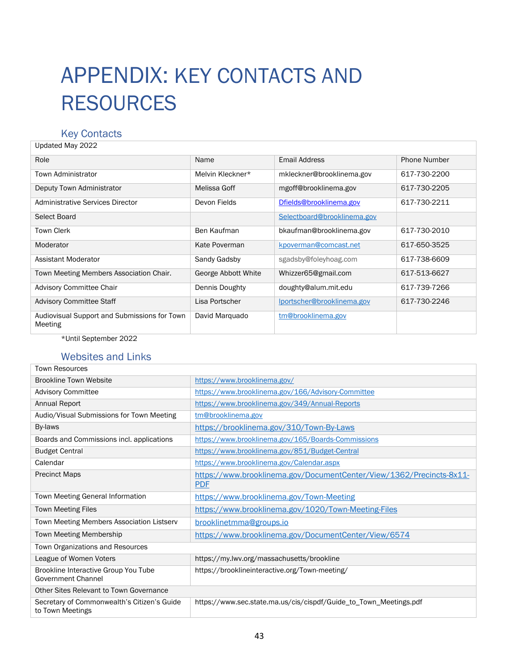### <span id="page-47-0"></span>APPENDIX: KEY CONTACTS AND RESOURCES

#### <span id="page-47-1"></span>Key Contacts

| Updated May 2022                                        |                     |                             |                     |
|---------------------------------------------------------|---------------------|-----------------------------|---------------------|
| Role                                                    | Name                | Email Address               | <b>Phone Number</b> |
| Town Administrator                                      | Melvin Kleckner*    | mkleckner@brooklinema.gov   | 617-730-2200        |
| Deputy Town Administrator                               | Melissa Goff        | mgoff@brooklinema.gov       | 617-730-2205        |
| <b>Administrative Services Director</b>                 | Devon Fields        | Dfields@brooklinema.gov     | 617-730-2211        |
| Select Board                                            |                     | Selectboard@brooklinema.gov |                     |
| <b>Town Clerk</b>                                       | Ben Kaufman         | bkaufman@brooklinema.gov    | 617-730-2010        |
| Moderator                                               | Kate Poverman       | kpoverman@comcast.net       | 617-650-3525        |
| Assistant Moderator                                     | Sandy Gadsby        | sgadsby@foleyhoag.com       | 617-738-6609        |
| Town Meeting Members Association Chair.                 | George Abbott White | Whizzer65@gmail.com         | 617-513-6627        |
| <b>Advisory Committee Chair</b>                         | Dennis Doughty      | doughty@alum.mit.edu        | 617-739-7266        |
| <b>Advisory Committee Staff</b>                         | Lisa Portscher      | lportscher@brooklinema.gov  | 617-730-2246        |
| Audiovisual Support and Submissions for Town<br>Meeting | David Marguado      | tm@brooklinema.gov          |                     |

\*Until September 2022

#### <span id="page-47-2"></span>Websites and Links

| <b>Town Resources</b>                                             |                                                                                    |  |
|-------------------------------------------------------------------|------------------------------------------------------------------------------------|--|
| <b>Brookline Town Website</b>                                     | https://www.brooklinema.gov/                                                       |  |
| <b>Advisory Committee</b>                                         | https://www.brooklinema.gov/166/Advisory-Committee                                 |  |
| Annual Report                                                     | https://www.brooklinema.gov/349/Annual-Reports                                     |  |
| Audio/Visual Submissions for Town Meeting                         | tm@brooklinema.gov                                                                 |  |
| By-laws                                                           | https://brooklinema.gov/310/Town-By-Laws                                           |  |
| Boards and Commissions incl. applications                         | https://www.brooklinema.gov/165/Boards-Commissions                                 |  |
| <b>Budget Central</b>                                             | https://www.brooklinema.gov/851/Budget-Central                                     |  |
| Calendar                                                          | https://www.brooklinema.gov/Calendar.aspx                                          |  |
| <b>Precinct Maps</b>                                              | https://www.brooklinema.gov/DocumentCenter/View/1362/Precincts-8x11-<br><b>PDF</b> |  |
| Town Meeting General Information                                  | https://www.brooklinema.gov/Town-Meeting                                           |  |
| <b>Town Meeting Files</b>                                         | https://www.brooklinema.gov/1020/Town-Meeting-Files                                |  |
| Town Meeting Members Association Listserv                         | brooklinetmma@groups.io                                                            |  |
| Town Meeting Membership                                           | https://www.brooklinema.gov/DocumentCenter/View/6574                               |  |
| <b>Town Organizations and Resources</b>                           |                                                                                    |  |
| League of Women Voters                                            | https://my.lwv.org/massachusetts/brookline                                         |  |
| Brookline Interactive Group You Tube<br><b>Government Channel</b> | https://brooklineinteractive.org/Town-meeting/                                     |  |
| Other Sites Relevant to Town Governance                           |                                                                                    |  |
| Secretary of Commonwealth's Citizen's Guide<br>to Town Meetings   | https://www.sec.state.ma.us/cis/cispdf/Guide_to_Town_Meetings.pdf                  |  |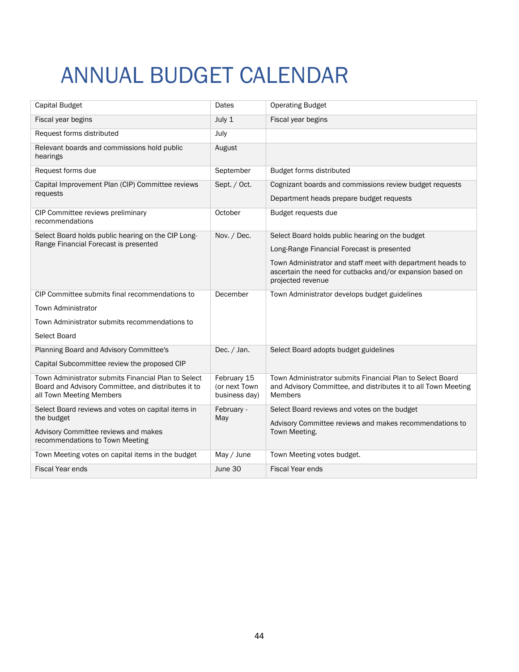## <span id="page-48-0"></span>ANNUAL BUDGET CALENDAR

<span id="page-48-1"></span>

| Capital Budget                                                                                                                               | Dates                                         | <b>Operating Budget</b>                                                                                                                                                                                                                       |
|----------------------------------------------------------------------------------------------------------------------------------------------|-----------------------------------------------|-----------------------------------------------------------------------------------------------------------------------------------------------------------------------------------------------------------------------------------------------|
| Fiscal year begins                                                                                                                           | July 1                                        | Fiscal year begins                                                                                                                                                                                                                            |
| Request forms distributed                                                                                                                    | July                                          |                                                                                                                                                                                                                                               |
| Relevant boards and commissions hold public<br>hearings                                                                                      | August                                        |                                                                                                                                                                                                                                               |
| Request forms due                                                                                                                            | September                                     | Budget forms distributed                                                                                                                                                                                                                      |
| Capital Improvement Plan (CIP) Committee reviews<br>requests                                                                                 | Sept. / Oct.                                  | Cognizant boards and commissions review budget requests<br>Department heads prepare budget requests                                                                                                                                           |
| CIP Committee reviews preliminary<br>recommendations                                                                                         | October                                       | Budget requests due                                                                                                                                                                                                                           |
| Select Board holds public hearing on the CIP Long-<br>Range Financial Forecast is presented                                                  | Nov. / Dec.                                   | Select Board holds public hearing on the budget<br>Long-Range Financial Forecast is presented<br>Town Administrator and staff meet with department heads to<br>ascertain the need for cutbacks and/or expansion based on<br>projected revenue |
| CIP Committee submits final recommendations to<br><b>Town Administrator</b><br>Town Administrator submits recommendations to<br>Select Board | December                                      | Town Administrator develops budget guidelines                                                                                                                                                                                                 |
| Planning Board and Advisory Committee's<br>Capital Subcommittee review the proposed CIP                                                      | Dec. / Jan.                                   | Select Board adopts budget guidelines                                                                                                                                                                                                         |
| Town Administrator submits Financial Plan to Select<br>Board and Advisory Committee, and distributes it to<br>all Town Meeting Members       | February 15<br>(or next Town<br>business day) | Town Administrator submits Financial Plan to Select Board<br>and Advisory Committee, and distributes it to all Town Meeting<br>Members                                                                                                        |
| Select Board reviews and votes on capital items in<br>the budget<br>Advisory Committee reviews and makes<br>recommendations to Town Meeting  | February -<br>May                             | Select Board reviews and votes on the budget<br>Advisory Committee reviews and makes recommendations to<br>Town Meeting.                                                                                                                      |
| Town Meeting votes on capital items in the budget                                                                                            | May / June                                    | Town Meeting votes budget.                                                                                                                                                                                                                    |
| <b>Fiscal Year ends</b>                                                                                                                      | June 30                                       | <b>Fiscal Year ends</b>                                                                                                                                                                                                                       |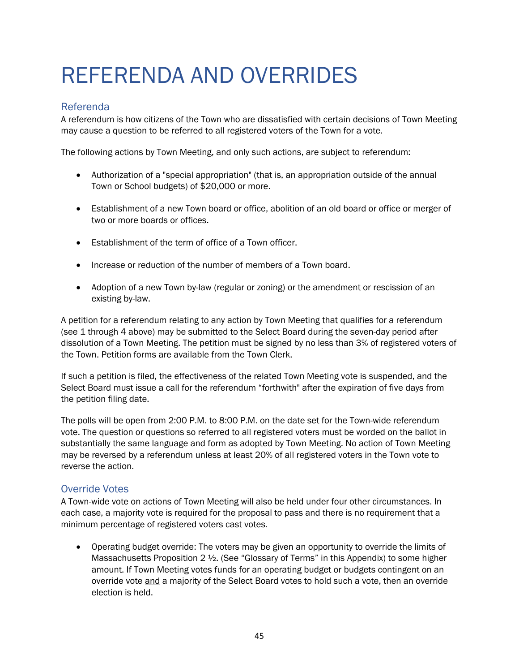### <span id="page-49-0"></span>REFERENDA AND OVERRIDES

#### <span id="page-49-1"></span>Referenda

A referendum is how citizens of the Town who are dissatisfied with certain decisions of Town Meeting may cause a question to be referred to all registered voters of the Town for a vote.

The following actions by Town Meeting, and only such actions, are subject to referendum:

- Authorization of a "special appropriation" (that is, an appropriation outside of the annual Town or School budgets) of \$20,000 or more.
- Establishment of a new Town board or office, abolition of an old board or office or merger of two or more boards or offices.
- Establishment of the term of office of a Town officer.
- Increase or reduction of the number of members of a Town board.
- Adoption of a new Town by-law (regular or zoning) or the amendment or rescission of an existing by-law.

A petition for a referendum relating to any action by Town Meeting that qualifies for a referendum (see 1 through 4 above) may be submitted to the Select Board during the seven-day period after dissolution of a Town Meeting. The petition must be signed by no less than 3% of registered voters of the Town. Petition forms are available from the Town Clerk.

If such a petition is filed, the effectiveness of the related Town Meeting vote is suspended, and the Select Board must issue a call for the referendum "forthwith" after the expiration of five days from the petition filing date.

The polls will be open from 2:00 P.M. to 8:00 P.M. on the date set for the Town-wide referendum vote. The question or questions so referred to all registered voters must be worded on the ballot in substantially the same language and form as adopted by Town Meeting. No action of Town Meeting may be reversed by a referendum unless at least 20% of all registered voters in the Town vote to reverse the action.

#### <span id="page-49-2"></span>Override Votes

A Town-wide vote on actions of Town Meeting will also be held under four other circumstances. In each case, a majority vote is required for the proposal to pass and there is no requirement that a minimum percentage of registered voters cast votes.

• Operating budget override: The voters may be given an opportunity to override the limits of Massachusetts Proposition  $2 \frac{1}{2}$ . (See "Glossary of Terms" in this Appendix) to some higher amount. If Town Meeting votes funds for an operating budget or budgets contingent on an override vote and a majority of the Select Board votes to hold such a vote, then an override election is held.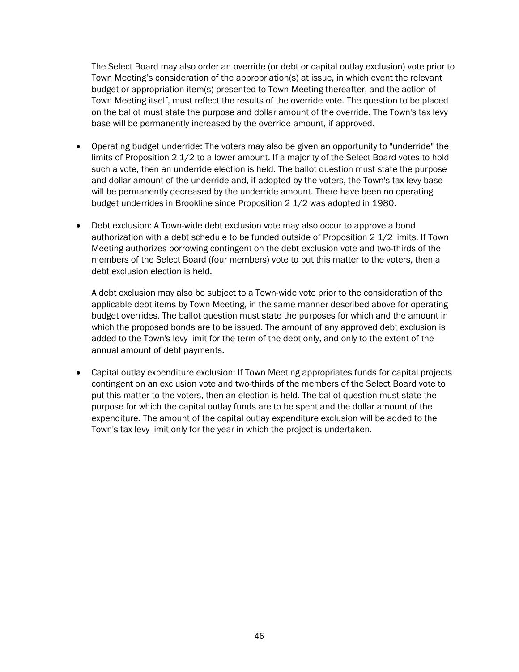The Select Board may also order an override (or debt or capital outlay exclusion) vote prior to Town Meeting's consideration of the appropriation(s) at issue, in which event the relevant budget or appropriation item(s) presented to Town Meeting thereafter, and the action of Town Meeting itself, must reflect the results of the override vote. The question to be placed on the ballot must state the purpose and dollar amount of the override. The Town's tax levy base will be permanently increased by the override amount, if approved.

- Operating budget underride: The voters may also be given an opportunity to "underride" the limits of Proposition 2 1/2 to a lower amount. If a majority of the Select Board votes to hold such a vote, then an underride election is held. The ballot question must state the purpose and dollar amount of the underride and, if adopted by the voters, the Town's tax levy base will be permanently decreased by the underride amount. There have been no operating budget underrides in Brookline since Proposition 2 1/2 was adopted in 1980.
- Debt exclusion: A Town-wide debt exclusion vote may also occur to approve a bond authorization with a debt schedule to be funded outside of Proposition 2 1/2 limits. If Town Meeting authorizes borrowing contingent on the debt exclusion vote and two-thirds of the members of the Select Board (four members) vote to put this matter to the voters, then a debt exclusion election is held.

A debt exclusion may also be subject to a Town-wide vote prior to the consideration of the applicable debt items by Town Meeting, in the same manner described above for operating budget overrides. The ballot question must state the purposes for which and the amount in which the proposed bonds are to be issued. The amount of any approved debt exclusion is added to the Town's levy limit for the term of the debt only, and only to the extent of the annual amount of debt payments.

• Capital outlay expenditure exclusion: If Town Meeting appropriates funds for capital projects contingent on an exclusion vote and two-thirds of the members of the Select Board vote to put this matter to the voters, then an election is held. The ballot question must state the purpose for which the capital outlay funds are to be spent and the dollar amount of the expenditure. The amount of the capital outlay expenditure exclusion will be added to the Town's tax levy limit only for the year in which the project is undertaken.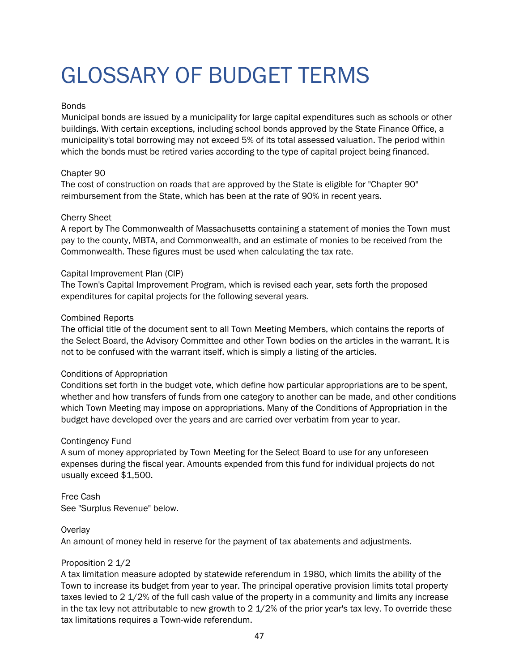### <span id="page-51-0"></span>GLOSSARY OF BUDGET TERMS

#### **Bonds**

Municipal bonds are issued by a municipality for large capital expenditures such as schools or other buildings. With certain exceptions, including school bonds approved by the State Finance Office, a municipality's total borrowing may not exceed 5% of its total assessed valuation. The period within which the bonds must be retired varies according to the type of capital project being financed.

#### Chapter 90

The cost of construction on roads that are approved by the State is eligible for "Chapter 90" reimbursement from the State, which has been at the rate of 90% in recent years.

#### Cherry Sheet

A report by The Commonwealth of Massachusetts containing a statement of monies the Town must pay to the county, MBTA, and Commonwealth, and an estimate of monies to be received from the Commonwealth. These figures must be used when calculating the tax rate.

#### Capital Improvement Plan (CIP)

The Town's Capital Improvement Program, which is revised each year, sets forth the proposed expenditures for capital projects for the following several years.

#### Combined Reports

The official title of the document sent to all Town Meeting Members, which contains the reports of the Select Board, the Advisory Committee and other Town bodies on the articles in the warrant. It is not to be confused with the warrant itself, which is simply a listing of the articles.

#### Conditions of Appropriation

Conditions set forth in the budget vote, which define how particular appropriations are to be spent, whether and how transfers of funds from one category to another can be made, and other conditions which Town Meeting may impose on appropriations. Many of the Conditions of Appropriation in the budget have developed over the years and are carried over verbatim from year to year.

#### Contingency Fund

A sum of money appropriated by Town Meeting for the Select Board to use for any unforeseen expenses during the fiscal year. Amounts expended from this fund for individual projects do not usually exceed \$1,500.

#### Free Cash See "Surplus Revenue" below.

#### **Overlay**

An amount of money held in reserve for the payment of tax abatements and adjustments.

#### Proposition 2 1/2

A tax limitation measure adopted by statewide referendum in 1980, which limits the ability of the Town to increase its budget from year to year. The principal operative provision limits total property taxes levied to 2 1/2% of the full cash value of the property in a community and limits any increase in the tax levy not attributable to new growth to 2 1/2% of the prior year's tax levy. To override these tax limitations requires a Town-wide referendum.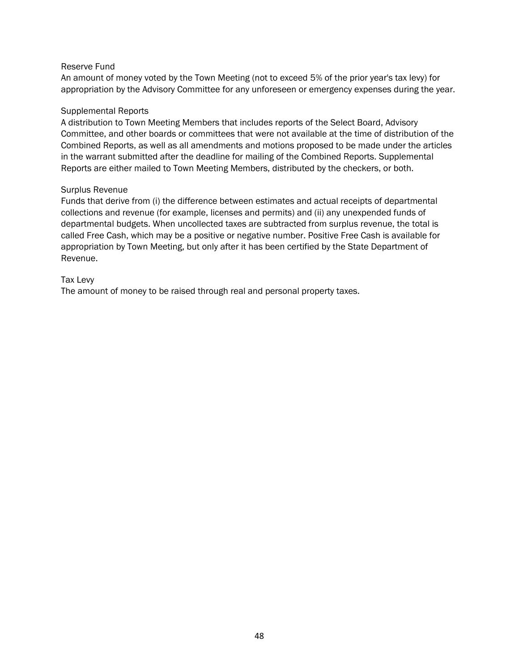#### Reserve Fund

An amount of money voted by the Town Meeting (not to exceed 5% of the prior year's tax levy) for appropriation by the Advisory Committee for any unforeseen or emergency expenses during the year.

#### Supplemental Reports

A distribution to Town Meeting Members that includes reports of the Select Board, Advisory Committee, and other boards or committees that were not available at the time of distribution of the Combined Reports, as well as all amendments and motions proposed to be made under the articles in the warrant submitted after the deadline for mailing of the Combined Reports. Supplemental Reports are either mailed to Town Meeting Members, distributed by the checkers, or both.

#### Surplus Revenue

Funds that derive from (i) the difference between estimates and actual receipts of departmental collections and revenue (for example, licenses and permits) and (ii) any unexpended funds of departmental budgets. When uncollected taxes are subtracted from surplus revenue, the total is called Free Cash, which may be a positive or negative number. Positive Free Cash is available for appropriation by Town Meeting, but only after it has been certified by the State Department of Revenue.

#### Tax Levy

The amount of money to be raised through real and personal property taxes.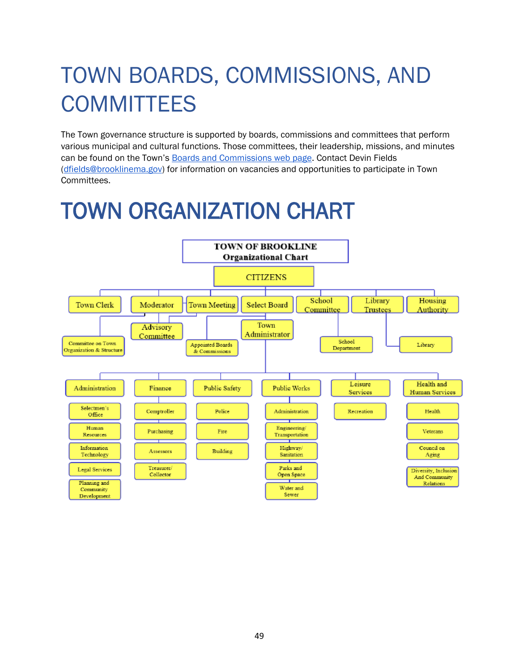## <span id="page-53-0"></span>TOWN BOARDS, COMMISSIONS, AND **COMMITTEES**

The Town governance structure is supported by boards, commissions and committees that perform various municipal and cultural functions. Those committees, their leadership, missions, and minutes can be found on the Town's [Boards and Commissions web page.](https://www.brooklinema.gov/165/Boards-Commissions) Contact Devin Fields [\(dfields@brooklinema.gov\)](mailto:dfields@brooklinema.gov) for information on vacancies and opportunities to participate in Town Committees.

### <span id="page-53-1"></span>TOWN ORGANIZATION CHART

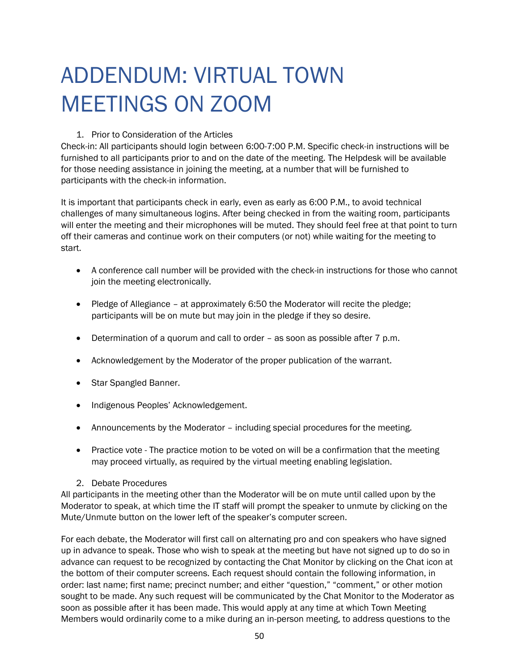## <span id="page-54-0"></span>ADDENDUM: VIRTUAL TOWN MEETINGS ON ZOOM

#### 1. Prior to Consideration of the Articles

Check-in: All participants should login between 6:00-7:00 P.M. Specific check-in instructions will be furnished to all participants prior to and on the date of the meeting. The Helpdesk will be available for those needing assistance in joining the meeting, at a number that will be furnished to participants with the check-in information.

It is important that participants check in early, even as early as 6:00 P.M., to avoid technical challenges of many simultaneous logins. After being checked in from the waiting room, participants will enter the meeting and their microphones will be muted. They should feel free at that point to turn off their cameras and continue work on their computers (or not) while waiting for the meeting to start.

- A conference call number will be provided with the check-in instructions for those who cannot join the meeting electronically.
- Pledge of Allegiance at approximately 6:50 the Moderator will recite the pledge; participants will be on mute but may join in the pledge if they so desire.
- Determination of a quorum and call to order as soon as possible after 7 p.m.
- Acknowledgement by the Moderator of the proper publication of the warrant.
- Star Spangled Banner.
- Indigenous Peoples' Acknowledgement.
- Announcements by the Moderator including special procedures for the meeting.
- Practice vote The practice motion to be voted on will be a confirmation that the meeting may proceed virtually, as required by the virtual meeting enabling legislation.
- 2. Debate Procedures

All participants in the meeting other than the Moderator will be on mute until called upon by the Moderator to speak, at which time the IT staff will prompt the speaker to unmute by clicking on the Mute/Unmute button on the lower left of the speaker's computer screen.

For each debate, the Moderator will first call on alternating pro and con speakers who have signed up in advance to speak. Those who wish to speak at the meeting but have not signed up to do so in advance can request to be recognized by contacting the Chat Monitor by clicking on the Chat icon at the bottom of their computer screens. Each request should contain the following information, in order: last name; first name; precinct number; and either "question," "comment," or other motion sought to be made. Any such request will be communicated by the Chat Monitor to the Moderator as soon as possible after it has been made. This would apply at any time at which Town Meeting Members would ordinarily come to a mike during an in-person meeting, to address questions to the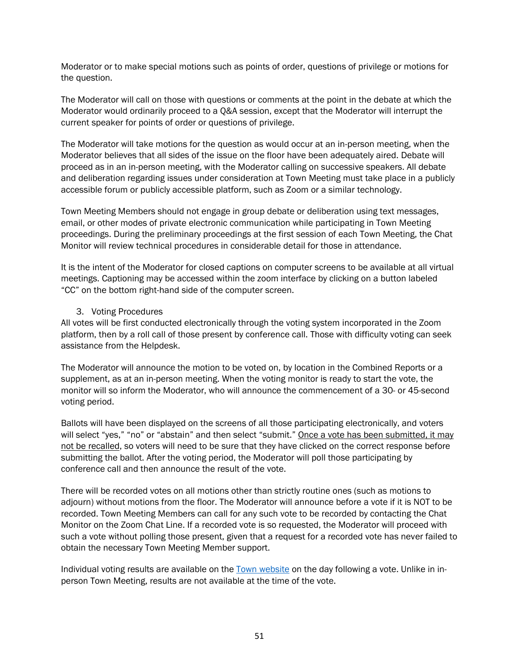Moderator or to make special motions such as points of order, questions of privilege or motions for the question.

The Moderator will call on those with questions or comments at the point in the debate at which the Moderator would ordinarily proceed to a Q&A session, except that the Moderator will interrupt the current speaker for points of order or questions of privilege.

The Moderator will take motions for the question as would occur at an in-person meeting, when the Moderator believes that all sides of the issue on the floor have been adequately aired. Debate will proceed as in an in-person meeting, with the Moderator calling on successive speakers. All debate and deliberation regarding issues under consideration at Town Meeting must take place in a publicly accessible forum or publicly accessible platform, such as Zoom or a similar technology.

Town Meeting Members should not engage in group debate or deliberation using text messages, email, or other modes of private electronic communication while participating in Town Meeting proceedings. During the preliminary proceedings at the first session of each Town Meeting, the Chat Monitor will review technical procedures in considerable detail for those in attendance.

It is the intent of the Moderator for closed captions on computer screens to be available at all virtual meetings. Captioning may be accessed within the zoom interface by clicking on a button labeled "CC" on the bottom right-hand side of the computer screen.

#### 3. Voting Procedures

All votes will be first conducted electronically through the voting system incorporated in the Zoom platform, then by a roll call of those present by conference call. Those with difficulty voting can seek assistance from the Helpdesk.

The Moderator will announce the motion to be voted on, by location in the Combined Reports or a supplement, as at an in-person meeting. When the voting monitor is ready to start the vote, the monitor will so inform the Moderator, who will announce the commencement of a 30- or 45-second voting period.

Ballots will have been displayed on the screens of all those participating electronically, and voters will select "yes," "no" or "abstain" and then select "submit." Once a vote has been submitted, it may not be recalled, so voters will need to be sure that they have clicked on the correct response before submitting the ballot. After the voting period, the Moderator will poll those participating by conference call and then announce the result of the vote.

There will be recorded votes on all motions other than strictly routine ones (such as motions to adjourn) without motions from the floor. The Moderator will announce before a vote if it is NOT to be recorded. Town Meeting Members can call for any such vote to be recorded by contacting the Chat Monitor on the Zoom Chat Line. If a recorded vote is so requested, the Moderator will proceed with such a vote without polling those present, given that a request for a recorded vote has never failed to obtain the necessary Town Meeting Member support.

Individual voting results are available on the [Town website](https://www.brooklinema.gov/1020/Town-Meeting-Files) on the day following a vote. Unlike in inperson Town Meeting, results are not available at the time of the vote.